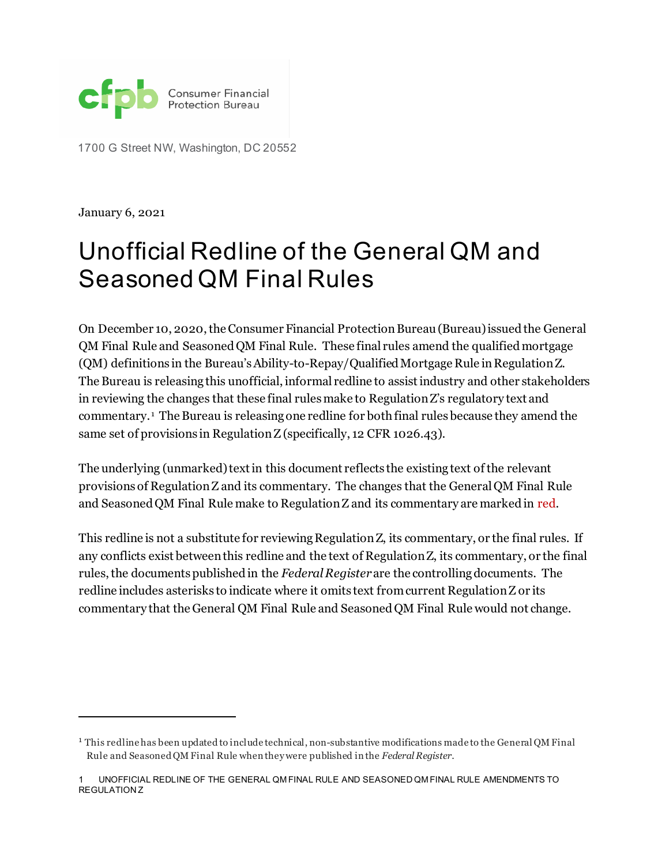

1700 G Street NW, Washington, DC 20552

January 6, 2021

# Unofficial Redline of the General QM and Seasoned QM Final Rules

On December 10, 2020, the Consumer Financial Protection Bureau (Bureau) issuedthe General QM Final Rule and Seasoned QM Final Rule. These final rules amend the qualified mortgage (QM) definitions in the Bureau's Ability-to-Repay/Qualified Mortgage Rule in Regulation Z. The Bureau is releasing this unofficial, informal redline to assist industry and other stakeholders in reviewing the changes that these final rulesmake to Regulation Z's regulatory text and commentary. [1](#page-0-0) The Bureau is releasing one redline for both final rules because they amend the same set of provisions in Regulation Z (specifically, 12 CFR 1026.43).

The underlying (unmarked) text in this document reflects the existing text of the relevant provisions of Regulation Z and its commentary. The changes that the General QM Final Rule and Seasoned QM Final Rule make to Regulation Z and its commentary are marked in red.

This redline is not a substitute for reviewing Regulation Z, its commentary, or the final rules. If any conflicts exist between this redline and the text of Regulation Z, its commentary, or the final rules, the documents published in the *Federal Register*are the controlling documents. The redline includes asterisks to indicate where it omits text from current Regulation Z or its commentary that the General QM Final Rule and Seasoned QM Final Rule would not change.

<span id="page-0-0"></span><sup>1</sup> This redline has been updated to include technical, non-substantive modifications made to the General QM Final Rule and Seasoned QM Final Rule when they were published in the *Federal Register*.

UNOFFICIAL REDLINE OF THE GENERAL QM FINAL RULE AND SEASONED QM FINAL RULE AMENDMENTS TO REGULATION Z 1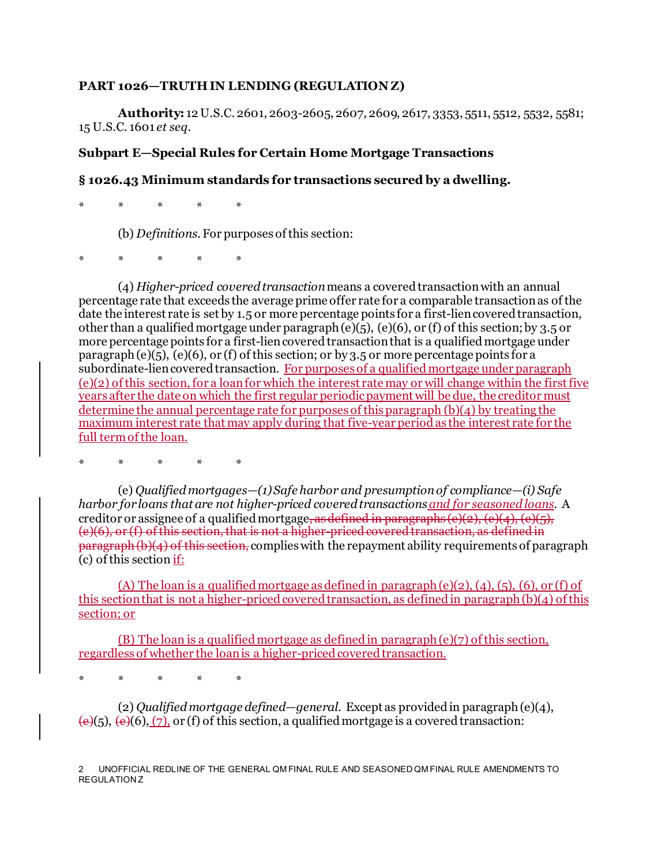#### PART 1026-TRUTH IN LENDING (REGULATION Z)

**Authority:** 12 U.S.C. 2601, 2603-2605, 2607, 2609, 2617, 3353, 5511, 5512, 5532, 5581; 15 U.S.C. 1601 *et seq.*

#### **Subpart E—Special Rules for Certain Home Mortgage Transactions**

## **§ 1026.43 Minimum standards for transactions secured by a dwelling.**

\* \* \* \* \*

(b) *Definitions.* For purposes of this section:

\* \* \* \* \*

(4) *Higher-priced covered transaction*means a covered transaction with an annual percentage rate that exceeds the average prime offer rate for a comparable transaction as of the date the interest rate is set by 1.5 or more percentage points for a first-lien covered transaction, other than a qualified mortgage under paragraph (e)(5), (e)(6), or (f) of this section; by 3.5 or more percentage points for a first-lien covered transaction that is a qualified mortgage under paragraph (e)(5), (e)(6), or (f) of this section; or by 3.5 or more percentage points for a subordinate-lien covered transaction. For purposes of a qualified mortgage under paragraph (e)(2) of this section, for a loan for which the interest rate may or will change within the first five years after the date on which the first regular periodic payment will be due, the creditor must determine the annual percentage rate for purposes of this paragraph (b)(4) by treating the maximum interest rate that may apply during that five-year periodas the interest rate for the full term of the loan.

\* \* \* \* \*

(e) *Qualified mortgages—(1) Safe harbor and presumption of compliance—(i) Safe harbor for loans that are not higher-priced covered transactionsand for seasoned loans.* A creditor or assignee of a qualified mortgage, as defined in paragraphs  $(e)(2)$ ,  $(e)(4)$ ,  $(e)(5)$ ,  $(e)(6)$ , or  $(f)$  of this section, that is not a higher-priced covered transaction, as defined in  $\frac{\partial^2 f}{\partial x^2}$  b)(4) of this section, complies with the repayment ability requirements of paragraph (c) of this section if:

(A) The loan is a qualified mortgage as defined in paragraph (e)(2), (4), (5), (6), or (f) of this section that is not a higher-priced covered transaction, as defined in paragraph (b)(4) of this section; or

(B) The loan is a qualified mortgage as defined in paragraph (e)(7) of this section, regardless of whether the loan is a higher-priced covered transaction.

\* \* \* \* \*

(2) *Qualified mortgage defined—general.* Except as provided in paragraph (e)(4),  $\left(\frac{e}{6}\right)$ ,  $\left(\frac{e}{6}\right)$ ,  $\left(\frac{7}{2}\right)$ , or (f) of this section, a qualified mortgage is a covered transaction: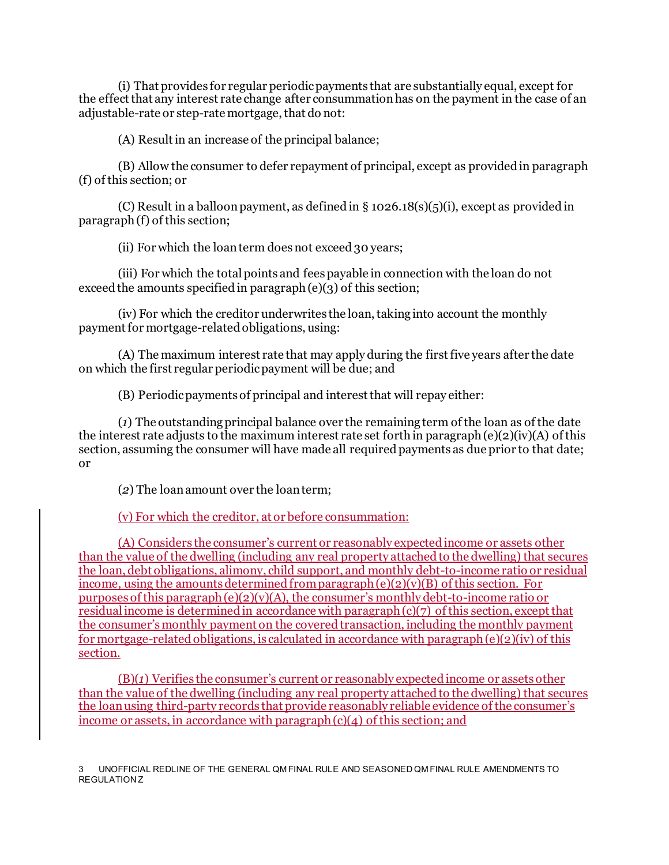(i) That provides for regular periodic payments that are substantially equal, except for the effect that any interest rate change after consummation has on the payment in the case of an adjustable-rate or step-rate mortgage, that do not:

(A) Result in an increase of the principal balance;

(B) Allow the consumer to defer repayment of principal, except as provided in paragraph (f) of this section; or

(C) Result in a balloon payment, as defined in  $\S$  1026.18(s)(5)(i), except as provided in paragraph (f) of this section;

(ii) For which the loan term does not exceed 30 years;

(iii) For which the total points and fees payable in connection with the loan do not exceed the amounts specified in paragraph  $(e)(3)$  of this section;

(iv) For which the creditor underwrites the loan, taking into account the monthly payment for mortgage-related obligations, using:

(A) The maximum interest rate that may apply during the first five years after the date on which the first regular periodic payment will be due; and

(B) Periodic payments of principal and interest that will repay either:

(*1*) The outstanding principal balance over the remaining term of the loan as of the date the interest rate adjusts to the maximum interest rate set forth in paragraph (e)(2)(iv)(A) of this section, assuming the consumer will have made all required payments as due prior to that date; or

(*2*) The loan amount over the loan term;

(v) For which the creditor, at or before consummation:

(A) Considers the consumer's current or reasonably expected income or assets other than the value of the dwelling (including any real property attached to the dwelling) that secures the loan, debt obligations, alimony, child support, and monthly debt-to-income ratio or residual income, using the amounts determined from paragraph  $(e)(2)(v)(B)$  of this section. For purposes of this paragraph (e)(2)(v)(A), the consumer's monthly debt-to-income ratio or residual income is determined in accordance with paragraph  $(c)(7)$  of this section, except that the consumer's monthly payment on the covered transaction, including the monthly payment for mortgage-related obligations, is calculated in accordance with paragraph (e)(2)(iv) of this section.

(B)(*1*) Verifies the consumer's current or reasonably expected income or assets other than the value of the dwelling (including any real property attached to the dwelling) that secures the loan using third-party records that provide reasonably reliable evidence of the consumer's income or assets, in accordance with paragraph (c)(4) of this section; and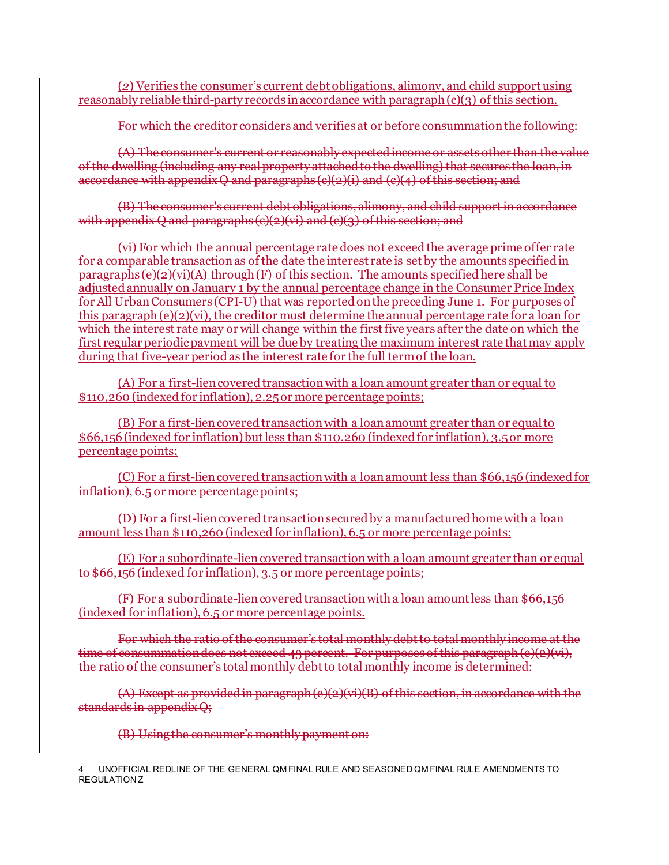(*2*) Verifies the consumer's current debt obligations, alimony, and child support using reasonably reliable third-party records in accordance with paragraph (c)(3) of this section.

For which the creditor considers and verifies at or before consummation the following:

(A) The consumer's current or reasonably expected income or assets other than the value of the dwelling (including any real property attached to the dwelling) that secures the loan, in accordance with appendix  $Q$  and paragraphs  $(e)(2)(i)$  and  $(e)(4)$  of this section; and

(B) The consumer's current debt obligations, alimony, and child support in accordance with appendix  $Q$  and paragraphs  $(e)(2)(vi)$  and  $(e)(3)$  of this section; and

(vi) For which the annual percentage rate does not exceed the average prime offer rate for a comparable transaction as of the date the interest rate is set by the amounts specified in paragraphs  $(e)(2)(vi)(A)$  through  $(F)$  of this section. The amounts specified here shall be adjusted annually on January 1 by the annual percentage change in the Consumer Price Index for All Urban Consumers (CPI-U) that was reported on the preceding June 1. For purposes of this paragraph  $(e)(2)(vi)$ , the creditor must determine the annual percentage rate for a loan for which the interest rate may or will change within the first five years after the date on which the first regular periodic payment will be due by treating the maximum interest rate that may apply during that five-year period as the interest rate for the full term of the loan.

(A) For a first-lien covered transaction with a loan amount greater than or equal to \$110,260 (indexed for inflation), 2.25 or more percentage points;

(B) For a first-lien covered transaction with a loan amount greater than or equal to \$66,156 (indexed for inflation) but less than \$110,260 (indexed for inflation), 3.5 or more percentage points;

(C) For a first-lien covered transaction with a loan amount less than \$66,156 (indexed for inflation), 6.5 or more percentage points;

(D) For a first-lien covered transaction secured by a manufactured home with a loan amount less than \$110,260 (indexed for inflation), 6.5 or more percentage points;

(E) For a subordinate-lien covered transaction with a loan amount greater than or equal to \$66,156 (indexed for inflation), 3.5 or more percentage points;

(F) For a subordinate-lien covered transaction with a loan amount less than \$66,156 (indexed for inflation), 6.5 or more percentage points.

For which the ratio of the consumer's total monthly debt to total monthly income at the time of consummation does not exceed 43 percent. For purposes of this paragraph (e)(2)(vi), the ratio of the consumer's total monthly debt to total monthly income is determined:

(A) Except as provided in paragraph (e)(2)(vi)(B) of this section, in accordance with the standards in appendix Q;

(B) Using the consumer's monthly payment on: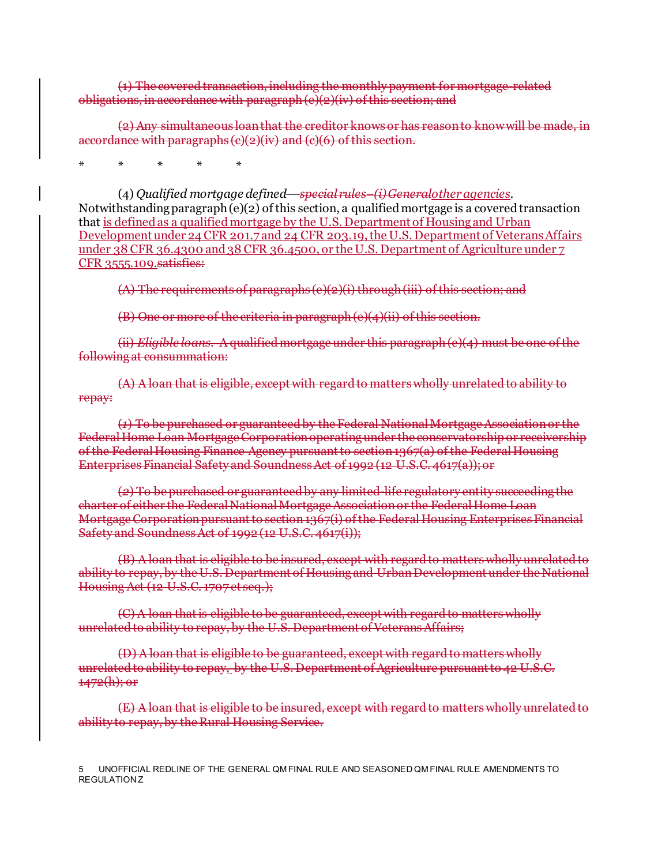(1) The covered transaction, including the monthly payment for mortgage-related obligations, in accordance with paragraph (e)(2)(iv) of this section; and

(2) Any simultaneous loan that the creditor knows or has reason to know will be made, in accordance with paragraphs  $(e)(2)(iv)$  and  $(e)(6)$  of this section.

\* \* \* \* \*

(4) *Qualified mortgage defined*—*special rules–(i)Generalother agencies.* Notwithstanding paragraph  $(e)(2)$  of this section, a qualified mortgage is a covered transaction that is defined as a qualified mortgage by the U.S. Department of Housing and Urban Development under 24 CFR 201.7 and 24 CFR 203.19, the U.S. Department of Veterans Affairs under 38 CFR 36.4300 and 38 CFR 36.4500, or the U.S. Department of Agriculture under 7 CFR 3555.109.satisfies:

(A) The requirements of paragraphs (e)(2)(i) through (iii) of this section; and

(B) One or more of the criteria in paragraph (e)(4)(ii) of this section.

(ii) *Eligible loans.* A qualified mortgage under this paragraph (e)(4) must be one of the following at consummation:

(A) A loan that is eligible, except with regard to matters wholly unrelated to ability to repay:

(*1*) To be purchased or guaranteed by the Federal National Mortgage Association or the Federal Home Loan Mortgage Corporation operating under the conservatorship or receivership of the Federal Housing Finance Agency pursuant to section 1367(a) of the Federal Housing Enterprises Financial Safety and Soundness Act of 1992 (12 U.S.C. 4617(a)); or

(*2*) To be purchased or guaranteed by any limited-life regulatory entity succeeding the charter of either the Federal National Mortgage Association or the Federal Home Loan Mortgage Corporation pursuant to section 1367(i) of the Federal Housing Enterprises Financial Safety and Soundness Act of 1992 (12 U.S.C. 4617(i));

(B) A loan that is eligible to be insured, except with regard to matters wholly unrelated to ability to repay, by the U.S. Department of Housing and Urban Development under the National Housing Act (12 U.S.C. 1707 et seq.);

(C) A loan that is eligible to be guaranteed, except with regard to matters wholly unrelated to ability to repay, by the U.S. Department of Veterans Affairs;

(D) A loan that is eligible to be guaranteed, except with regard to matters wholly unrelated to ability to repay, by the U.S. Department of Agriculture pursuant to 42 U.S.C.  $1472(h)$ ; or

(E) A loan that is eligible to be insured, except with regard to matters wholly unrelated to ability to repay, by the Rural Housing Service.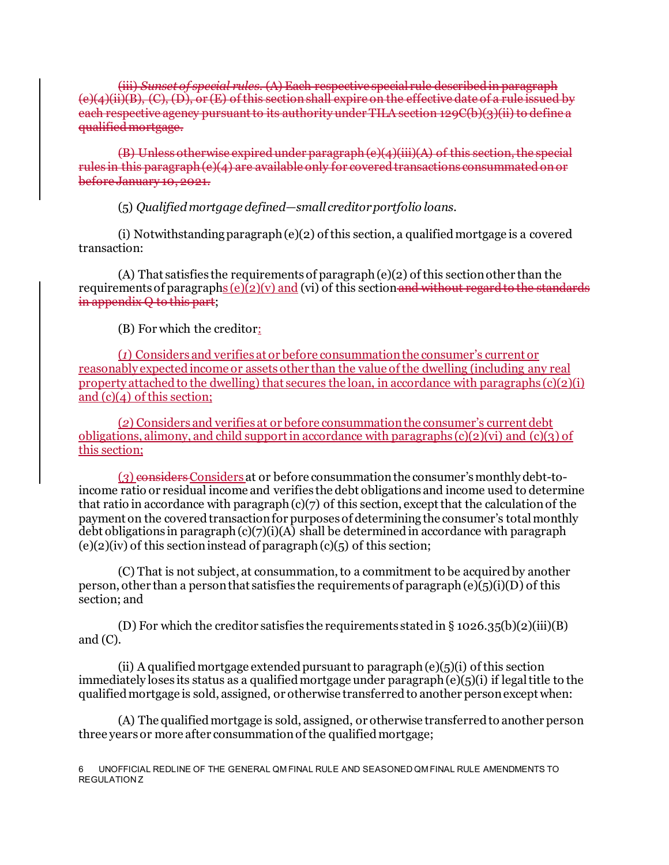(iii) *Sunset of special rules.* (A) Each respective special rule described in paragraph (4)(ii)(B), (C), (D), or (E) of this section shall expire on the effective date of a rule each respective agency pursuant to its authority under TILA section 129C(b)(3)(ii) to define a qualified mortgage.

(B) Unless otherwise expired under paragraph  $(e)(4)(iii)(A)$  of this section rules in this paragraph (e)(4) are available only for covered transactions before January 10, 2021.

(5) *Qualified mortgage defined—small creditor portfolio loans.*

(i) Notwithstanding paragraph (e)(2) of this section, a qualified mortgage is a covered transaction:

(A) That satisfies the requirements of paragraph  $(e)(2)$  of this section other than the requirements of paragraphs  $(e)(2)(v)$  and  $(vi)$  of this section and without regard to the standards in appendix Q to this part;

(B) For which the creditor:

(*1*) Considers and verifies at or before consummation the consumer's current or reasonably expected income or assets other than the value of the dwelling (including any real property attached to the dwelling) that secures the loan, in accordance with paragraphs  $(c)(2)(i)$ and  $(c)(4)$  of this section;

(*2*) Considers and verifies at or before consummation the consumer's current debt obligations, alimony, and child support in accordance with paragraphs  $(c)(2)(vi)$  and  $(c)(3)$  of this section;

(*3*) considers Considers at or before consummation the consumer's monthly debt-toincome ratio or residual income and verifies the debt obligations and income used to determine that ratio in accordance with paragraph  $(c)(7)$  of this section, except that the calculation of the payment on the covered transaction for purposes of determining the consumer's total monthly debt obligations in paragraph  $(c)(7)(i)(A)$  shall be determined in accordance with paragraph  $(e)(2)(iv)$  of this section instead of paragraph  $(e)(5)$  of this section;

(C) That is not subject, at consummation, to a commitment to be acquired by another person, other than a person that satisfies the requirements of paragraph (e)(5)(i)(D) of this section; and

(D) For which the creditor satisfies the requirements stated in § 1026.35(b)(2)(iii)(B) and (C).

(ii) A qualified mortgage extended pursuant to paragraph (e)(5)(i) of this section immediately loses its status as a qualified mortgage under paragraph (e)(5)(i) if legal title to the qualified mortgage is sold, assigned, or otherwise transferred to another person except when:

(A) The qualified mortgage is sold, assigned, or otherwise transferred to another person three years or more after consummation of the qualified mortgage;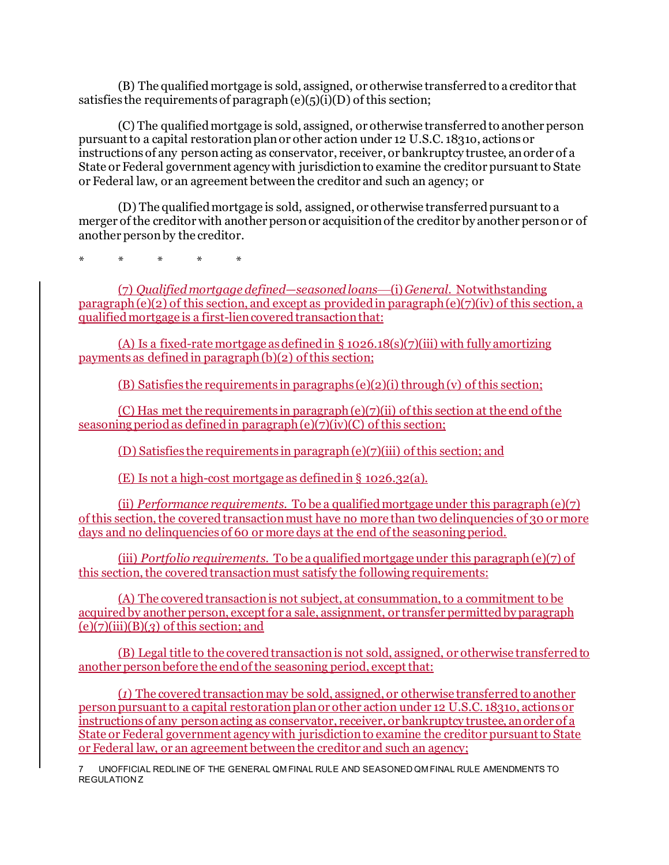(B) The qualified mortgage is sold, assigned, or otherwise transferred to a creditor that satisfies the requirements of paragraph  $(e)(5)(i)(D)$  of this section;

(C) The qualified mortgage is sold, assigned, or otherwise transferred to another person pursuant to a capital restoration plan or other action under 12 U.S.C. 1831o, actions or instructions of any person acting as conservator, receiver, or bankruptcy trustee, an order of a State or Federal government agency with jurisdiction to examine the creditor pursuant to State or Federal law, or an agreement between the creditor and such an agency; or

(D) The qualified mortgage is sold, assigned, or otherwise transferred pursuant to a merger of the creditor with another person or acquisition of the creditor by another person or of another person by the creditor.

\* \* \* \* \*

(7) *Qualified mortgage defined—seasoned loans*—(i) *General.* Notwithstanding paragraph (e)(2) of this section, and except as provided in paragraph (e)(7)(iv) of this section, a qualified mortgage is a first-lien covered transaction that:

(A) Is a fixed-rate mortgage as defined in  $\S$  1026.18(s)(7)(iii) with fully amortizing payments as defined in paragraph (b)(2) of this section;

(B) Satisfies the requirements in paragraphs (e)(2)(i) through (v) of this section;

(C) Has met the requirements in paragraph  $(e)(7)(ii)$  of this section at the end of the seasoning period as defined in paragraph  $(e)(\overline{7})(\overline{iv})(C)$  of this section;

(D) Satisfies the requirements in paragraph (e)(7)(iii) of this section; and

(E) Is not a high-cost mortgage as defined in § 1026.32(a).

(ii) *Performance requirements.* To be a qualified mortgage under this paragraph (e)(7) of this section, the covered transaction must have no more than two delinquencies of 30 or more days and no delinquencies of 60 or more days at the end of the seasoning period.

(iii) *Portfolio requirements.* To be a qualified mortgage under this paragraph (e)(7) of this section, the covered transaction must satisfy the following requirements:

(A) The covered transaction is not subject, at consummation, to a commitment to be acquired by another person, except for a sale, assignment, or transfer permitted by paragraph  $(e)(7)(iii)(B)(3)$  of this section; and

(B) Legal title to the covered transaction is not sold, assigned, or otherwise transferred to another person before the end of the seasoning period, except that:

(*1*) The covered transaction may be sold, assigned, or otherwise transferred to another person pursuant to a capital restoration plan or other action under 12 U.S.C. 1831o, actions or instructions of any person acting as conservator, receiver, or bankruptcy trustee, an order of a State or Federal government agency with jurisdiction to examine the creditor pursuant to State or Federal law, or an agreement between the creditor and such an agency;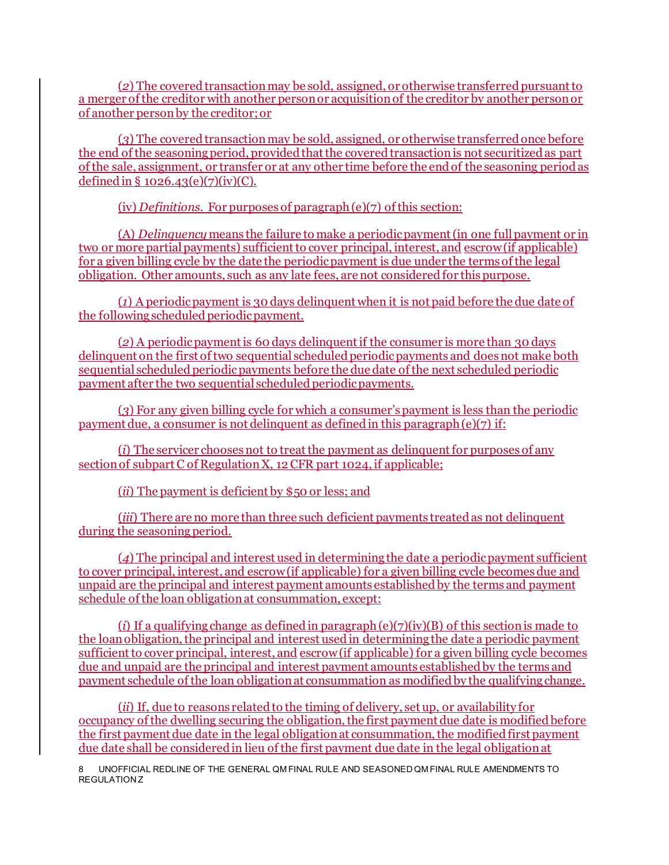(*2*) The covered transaction may be sold, assigned, or otherwise transferred pursuant to a merger of the creditor with another person or acquisition of the creditor by another person or of another person by the creditor; or

(*3*) The covered transaction may be sold, assigned, or otherwise transferred once before the end of the seasoning period, provided that the covered transaction is not securitized as part of the sale, assignment, or transfer or at any other time before the end of the seasoning period as defined in §  $1026.43(e)(7)(iv)(C)$ .

(iv) *Definitions*. For purposes of paragraph (e)(7) of this section:

(A) *Delinquency* means the failure to make a periodic payment (in one full payment or in two or more partial payments) sufficient to cover principal, interest, and escrow (if applicable) for a given billing cycle by the date the periodic payment is due under the terms of the legal obligation. Other amounts, such as any late fees, are not considered for this purpose.

(*1*) A periodic payment is 30 days delinquent when it is not paid before the due date of the following scheduled periodic payment.

(*2*) A periodic payment is 60 days delinquent if the consumer is more than 30 days delinquent on the first of two sequential scheduled periodic payments and does not make both sequential scheduled periodic payments before the due date of the next scheduled periodic payment after the two sequential scheduled periodic payments.

(*3*) For any given billing cycle for which a consumer's payment is less than the periodic payment due, a consumer is not delinquent as defined in this paragraph  $(e)(7)$  if:

(*i*) The servicer chooses not to treat the payment as delinquent for purposes of any section of subpart C of Regulation X, 12 CFR part 1024, if applicable;

(*ii*) The payment is deficient by \$50 or less; and

(*iii*) There are no more than three such deficient payments treated as not delinquent during the seasoning period.

(*4*) The principal and interest used in determining the date a periodic payment sufficient to cover principal, interest, and escrow (if applicable) for a given billing cycle becomes due and unpaid are the principal and interest payment amounts established by the terms and payment schedule of the loan obligation at consummation, except:

(*i*) If a qualifying change as defined in paragraph (e)(7)(iv)(B) of this section is made to the loan obligation, the principal and interest used in determining the date a periodic payment sufficient to cover principal, interest, and escrow (if applicable) for a given billing cycle becomes due and unpaid are the principal and interest payment amounts established by the terms and payment schedule of the loan obligation at consummation as modified by the qualifying change.

(*ii*) If, due to reasons related to the timing of delivery, set up, or availability for occupancy of the dwelling securing the obligation, the first payment due date is modified before the first payment due date in the legal obligation at consummation, the modified first payment due date shall be considered in lieu of the first payment due date in the legal obligation at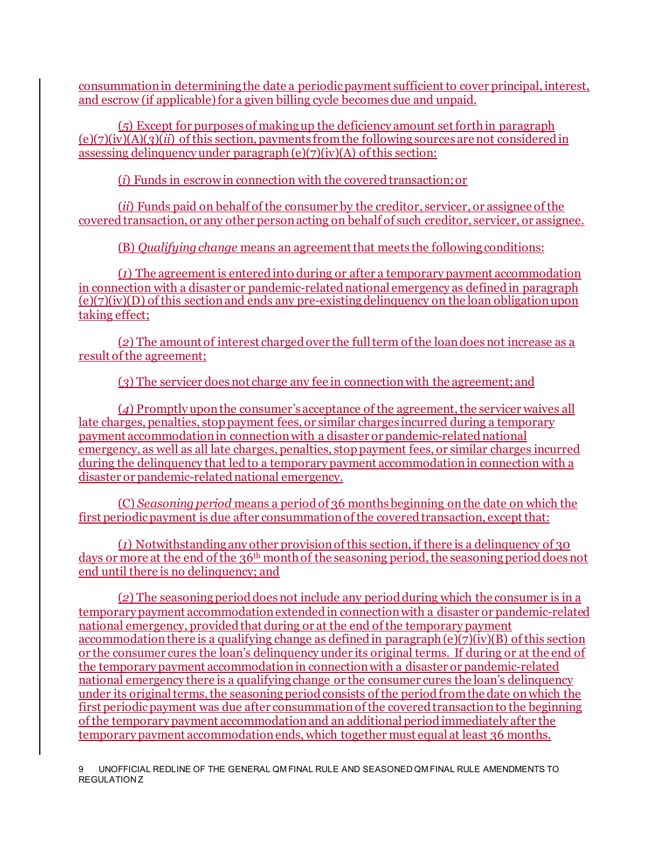consummation in determining the date a periodic payment sufficient to cover principal, interest, and escrow (if applicable) for a given billing cycle becomes due and unpaid.

(*5*) Except for purposes of making up the deficiency amount set forth in paragraph (e)(7)(iv)(A)(*3*)(*ii*) of this section, payments from the following sources are not considered in assessing delinquency under paragraph (e)(7)(iv)(A) of this section:

(*i*) Funds in escrow in connection with the covered transaction; or

(*ii*) Funds paid on behalf of the consumer by the creditor, servicer, or assignee of the covered transaction, or any other person acting on behalf of such creditor, servicer, or assignee.

(B) *Qualifying change* means an agreement that meets the following conditions:

(*1*) The agreement is entered into during or after a temporary payment accommodation in connection with a disaster or pandemic-related national emergency as defined in paragraph (e)(7)(iv)(D) of this section and ends any pre-existing delinquency on the loan obligation upon taking effect;

(*2*) The amount of interest charged over the full term of the loan does not increase as a result of the agreement;

(*3*) The servicer does not charge any fee in connection with the agreement; and

(*4*) Promptly upon the consumer's acceptance of the agreement, the servicer waives all late charges, penalties, stop payment fees, or similar charges incurred during a temporary payment accommodation in connection with a disaster or pandemic-related national emergency, as well as all late charges, penalties, stop payment fees, or similar charges incurred during the delinquency that led to a temporary payment accommodation in connection with a disaster or pandemic-related national emergency.

(C) *Seasoning period* means a periodof 36 months beginning on the date on which the first periodic payment is due after consummation of the covered transaction, except that:

 $(1)$  Notwithstanding any other provision of this section, if there is a delinquency of 30 days or more at the end of the 36<sup>th</sup> month of the seasoning period, the seasoning period does not end until there is no delinquency; and

(*2*) The seasoning period does not include any period during which the consumer is in a temporary payment accommodation extended in connection with a disaster or pandemic-related national emergency, provided that during or at the end of the temporary payment accommodation there is a qualifying change as defined in paragraph  $(e)(\overline{7})(iv)(B)$  of this section or the consumer cures the loan's delinquency under its original terms. If during or at the end of the temporary payment accommodation in connection with a disaster or pandemic-related national emergency there is a qualifying change or the consumer cures the loan's delinquency under its original terms, the seasoning period consists of the period from the date on which the first periodic payment was due after consummation of the covered transaction to the beginning of the temporary payment accommodation and an additional period immediately after the temporary payment accommodation ends, which together must equal at least 36 months.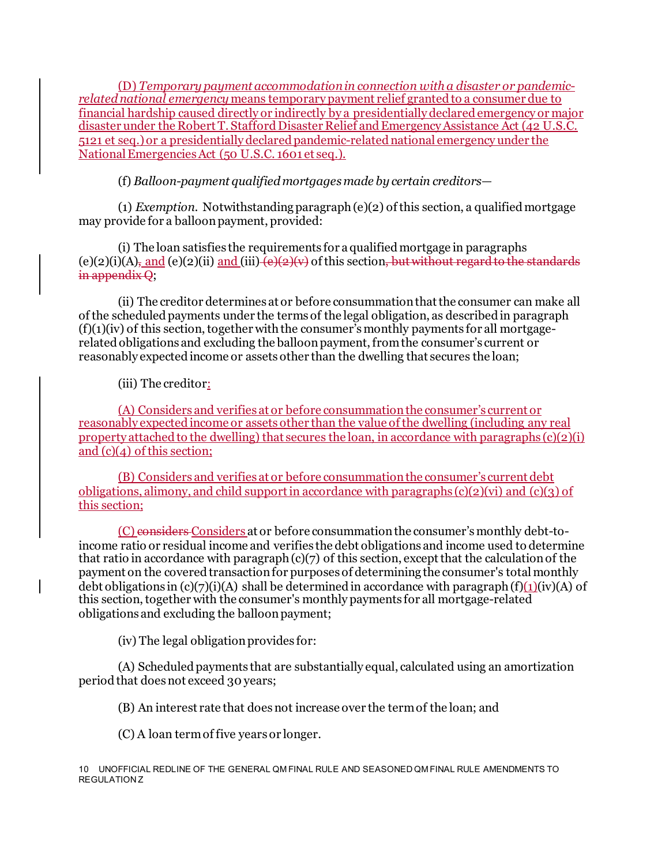(D) *Temporary payment accommodation in connection with a disaster or pandemicrelated national emergency* means temporary payment relief granted to a consumer due to financial hardship caused directly or indirectly by a presidentially declared emergency or major disaster under the Robert T. Stafford Disaster Relief and Emergency Assistance Act (42 U.S.C. 5121 et seq.) or a presidentially declared pandemic-related national emergency under the National Emergencies Act (50 U.S.C. 1601 et seq.).

(f) *Balloon-payment qualified mortgages made by certain creditors—*

(1) *Exemption.* Notwithstanding paragraph (e)(2) of this section, a qualified mortgage may provide for a balloon payment, provided:

(i) The loan satisfies the requirements for a qualified mortgage in paragraphs (e)(2)(i)(A), and (e)(2)(ii) and (iii)  $\overline{(e)(2)(v)}$  of this section, but without regard to the standards in appendix Q;

(ii) The creditor determines at or before consummation that the consumer can make all of the scheduled payments under the terms of the legal obligation, as described in paragraph  $(f)(1)(iv)$  of this section, together with the consumer's monthly payments for all mortgagerelated obligations and excluding the balloon payment, from the consumer's current or reasonably expected income or assets other than the dwelling that secures the loan;

(iii) The creditor:

(A) Considers and verifies at or before consummation the consumer's current or reasonably expected income or assets other than the value of the dwelling (including any real property attached to the dwelling) that secures the loan, in accordance with paragraphs  $(c)(2)(i)$ and  $(c)(4)$  of this section;

(B) Considers and verifies at or before consummation the consumer's current debt obligations, alimony, and child support in accordance with paragraphs (c)(2)(vi) and (c)(3) of this section;

(C) considers Considers at or before consummation the consumer's monthly debt-toincome ratio or residual income and verifies the debt obligations and income used to determine that ratio in accordance with paragraph  $(c)(7)$  of this section, except that the calculation of the payment on the covered transaction for purposes of determining the consumer's total monthly debt obligations in  $(c)(7)(i)(A)$  shall be determined in accordance with paragraph  $(f)(1)(iv)(A)$  of this section, together with the consumer's monthly payments for all mortgage-related obligations and excluding the balloon payment;

(iv) The legal obligation provides for:

(A) Scheduled payments that are substantially equal, calculated using an amortization period that does not exceed 30 years;

(B) An interest rate that does not increase over the term of the loan; and

(C) A loan term of five years or longer.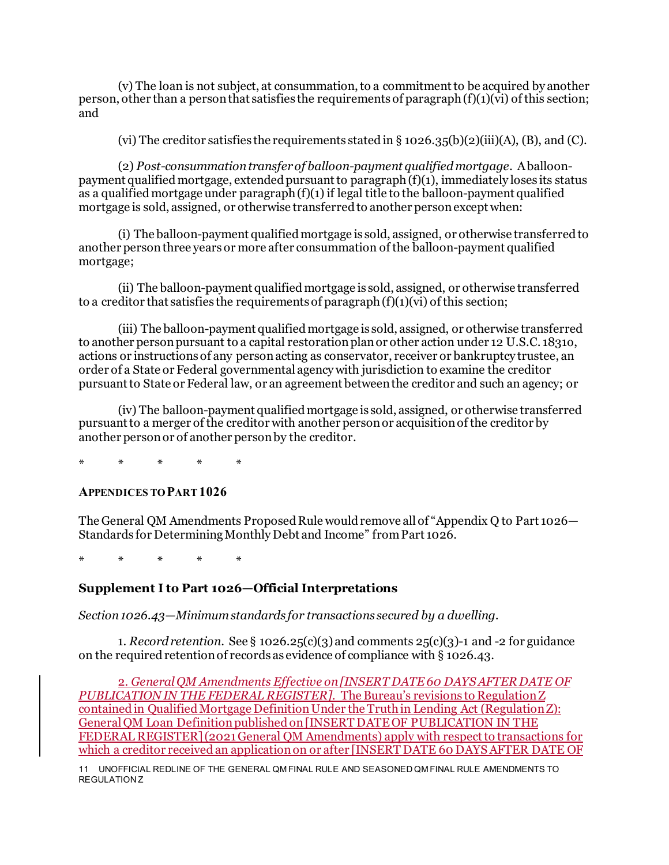(v) The loan is not subject, at consummation, to a commitment to be acquired by another person, other than a person that satisfies the requirements of paragraph  $(f)(1)(vi)$  of this section; and

(vi) The creditor satisfies the requirements stated in  $\S$  1026.35(b)(2)(iii)(A), (B), and (C).

(2) *Post-consummation transfer of balloon-payment qualified mortgage.* A balloonpayment qualified mortgage, extended pursuant to paragraph (f)(1), immediately loses its status as a qualified mortgage under paragraph (f)(1) if legal title to the balloon-payment qualified mortgage is sold, assigned, or otherwise transferred to another person except when:

(i) The balloon-payment qualified mortgage is sold, assigned, or otherwise transferred to another person three years or more after consummation of the balloon-payment qualified mortgage;

(ii) The balloon-payment qualified mortgage is sold, assigned, or otherwise transferred to a creditor that satisfies the requirements of paragraph  $(f)(1)(vi)$  of this section;

(iii) The balloon-payment qualified mortgage is sold, assigned, or otherwise transferred to another person pursuant to a capital restoration plan or other action under 12 U.S.C. 1831o, actions or instructions of any person acting as conservator, receiver or bankruptcy trustee, an order of a State or Federal governmental agency with jurisdiction to examine the creditor pursuant to State or Federal law, or an agreement between the creditor and such an agency; or

(iv) The balloon-payment qualified mortgage is sold, assigned, or otherwise transferred pursuant to a merger of the creditor with another person or acquisition of the creditor by another person or of another person by the creditor.

\* \* \* \* \*

#### **APPENDICES TO PART 1026**

The General QM Amendments Proposed Rule would remove all of "Appendix Q to Part 1026— Standards for Determining Monthly Debt and Income" from Part 1026.

\* \* \* \* \*

## **Supplement I to Part 1026—Official Interpretations**

*Section 1026.43—Minimum standards for transactions secured by a dwelling.*

1. *Record retention*. See § 1026.25(c)(3) and comments 25(c)(3)-1 and -2 for guidance on the required retention of records as evidence of compliance with § 1026.43.

2. *General QM Amendments Effective on [INSERT DATE 60 DAYS AFTER DATE OF PUBLICATION IN THE FEDERAL REGISTER]*. The Bureau's revisions to Regulation Z contained in Qualified Mortgage Definition Under the Truth in Lending Act (Regulation Z): General QM Loan Definitionpublished on [INSERT DATE OF PUBLICATION IN THE FEDERAL REGISTER](2021 General QM Amendments) apply with respect to transactions for which a creditor received an application on or after [INSERT DATE 60 DAYS AFTER DATE OF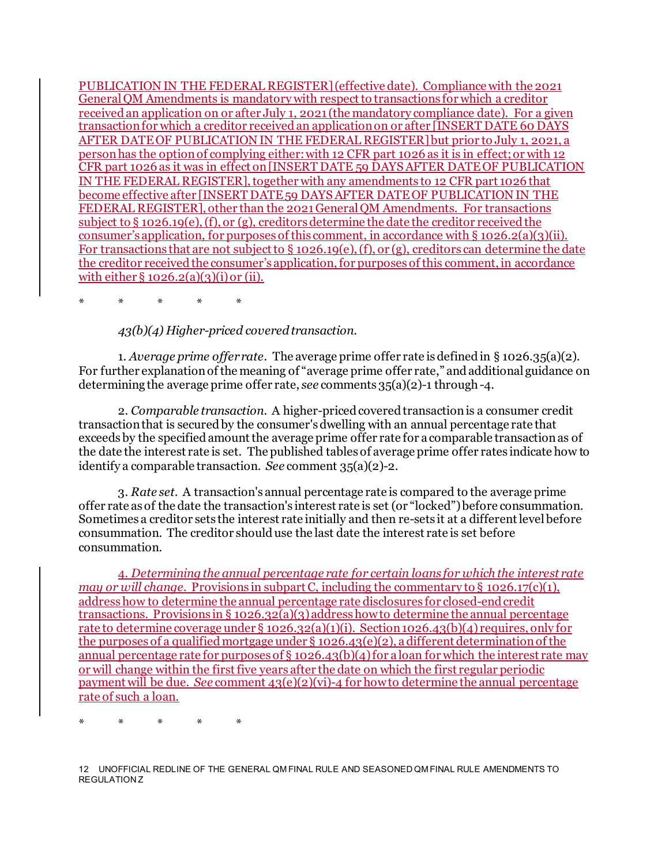PUBLICATION IN THE FEDERAL REGISTER](effective date). Compliance with the 2021 General QM Amendments is mandatory with respect to transactions for which a creditor received an application on or after July 1, 2021 (the mandatory compliance date). For a given transaction for which a creditor received an application on or after [INSERT DATE 60 DAYS AFTER DATE OF PUBLICATION IN THE FEDERAL REGISTER]but prior to July 1, 2021, a person has the option of complying either: with 12 CFR part 1026 as it is in effect; or with 12 CFR part 1026 as it was in effect on [INSERT DATE 59 DAYS AFTER DATE OF PUBLICATION IN THE FEDERAL REGISTER], together with any amendments to 12 CFR part 1026 that become effective after [INSERT DATE 59 DAYS AFTER DATE OF PUBLICATION IN THE FEDERAL REGISTER], other than the 2021 General QM Amendments. For transactions subject to § 1026.19(e), (f), or (g), creditors determine the date the creditor received the consumer's application, for purposes of this comment, in accordance with  $\S 1026.2(a)(3)(ii)$ . For transactions that are not subject to § 1026.19(e), (f), or (g), creditors can determine the date the creditor received the consumer's application, for purposes of this comment, in accordance with either  $\S 1026.2(a)(3)(i)$  or (ii).

\* \* \* \* \*

*43(b)(4) Higher-priced covered transaction.*

1. *Average prime offer rate*. The average prime offer rate is defined in § 1026.35(a)(2). For further explanation of the meaning of "average prime offer rate," and additional guidance on determining the average prime offer rate, *see* comments 35(a)(2)-1 through -4.

2. *Comparable transaction*. A higher-priced covered transaction is a consumer credit transaction that is secured by the consumer's dwelling with an annual percentage rate that exceeds by the specified amount the average prime offer rate for a comparable transaction as of the date the interest rate is set. The published tables of average prime offer rates indicate how to identify a comparable transaction. *See* comment 35(a)(2)-2.

3. *Rate set*. A transaction's annual percentage rate is compared to the average prime offer rate as of the date the transaction's interest rate is set (or "locked") before consummation. Sometimes a creditor sets the interest rate initially and then re-sets it at a different level before consummation. The creditor should use the last date the interest rate is set before consummation.

4. *Determining the annual percentage rate for certain loans for which the interest rate may or will change.* Provisions in subpart C, including the commentary to  $\S$  1026.17(c)(1), address how to determine the annual percentage rate disclosures for closed-end credit transactions. Provisions in § 1026.32(a)(3) address how to determine the annual percentage rate to determine coverage under § 1026.32(a)(1)(i). Section 1026.43(b)(4) requires, only for the purposes of a qualified mortgage under § 1026.43(e)(2), a different determination of the annual percentage rate for purposes of § 1026.43(b)(4) for a loan for which the interest rate may or will change within the first five years after the date on which the first regular periodic payment will be due. *See* comment 43(e)(2)(vi)-4 for how to determine the annual percentage rate of such a loan.

\* \* \* \* \*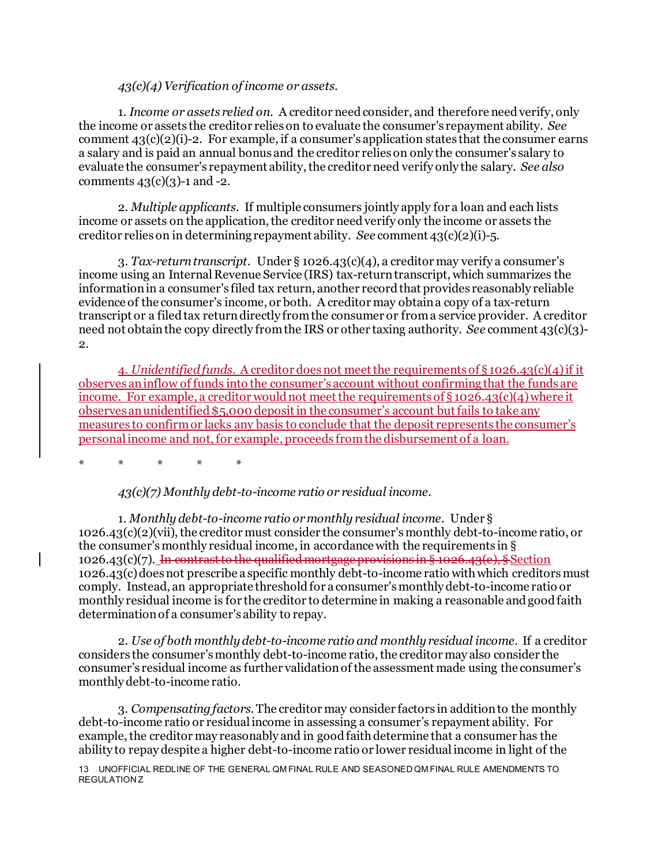*43(c)(4) Verification of income or assets.*

1. *Income or assets relied on*. A creditor need consider, and therefore need verify, only the income or assets the creditor relies on to evaluate the consumer's repayment ability. *See* comment  $43(c)(2)(i)-2$ . For example, if a consumer's application states that the consumer earns a salary and is paid an annual bonus and the creditor relies on only the consumer's salary to evaluate the consumer's repayment ability, the creditor need verify only the salary. *See also* comments  $43(c)(3)-1$  and  $-2$ .

2. *Multiple applicants*. If multiple consumers jointly apply for a loan and each lists income or assets on the application, the creditor need verify only the income or assets the creditor relies on in determining repayment ability. *See* comment 43(c)(2)(i)-5.

3. *Tax-return transcript*. Under § 1026.43(c)(4), a creditor may verify a consumer's income using an Internal Revenue Service (IRS) tax-return transcript, which summarizes the information in a consumer's filed tax return, another record that provides reasonably reliable evidence of the consumer's income, or both. A creditor may obtain a copy of a tax-return transcript or a filed tax return directly from the consumer or from a service provider. A creditor need not obtain the copy directly from the IRS or other taxing authority. *See* comment 43(c)(3)- 2.

4. *Unidentified funds*. A creditor does not meet the requirements of § 1026.43(c)(4)if it observes an inflow of funds into the consumer's account without confirming that the funds are income. For example, a creditor would not meet the requirements of  $\S 1026.43(c)(4)$  where it observes an unidentified \$5,000 deposit in the consumer's account but fails to take any measures to confirm or lacks any basis to conclude that the deposit represents the consumer's personal income and not, for example, proceeds from the disbursement of a loan.

\* \* \* \* \*

*43(c)(7) Monthly debt-to-income ratio or residual income.*

1. *Monthly debt-to-income ratio or monthly residual income*. Under § 1026.43(c)(2)(vii), the creditor must consider the consumer's monthly debt-to-income ratio, or the consumer's monthly residual income, in accordance with the requirements in § 1026.43(c)(7). In contrast to the qualified mortgage provisions in § 1026.43(e), § Section 1026.43(c) does not prescribe a specific monthly debt-to-income ratio with which creditors must comply. Instead, an appropriate threshold for a consumer's monthly debt-to-income ratio or monthly residual income is for the creditor to determine in making a reasonable and good faith determination of a consumer's ability to repay.

2. *Use of both monthly debt-to-income ratio and monthly residual income.* If a creditor considers the consumer's monthly debt-to-income ratio, the creditor may also consider the consumer's residual income as further validation of the assessment made using the consumer's monthly debt-to-income ratio.

3. *Compensating factors.* The creditor may consider factors in addition to the monthly debt-to-income ratio or residual income in assessing a consumer's repayment ability. For example, the creditor may reasonably and in good faith determine that a consumer has the ability to repay despite a higher debt-to-income ratio or lower residual income in light of the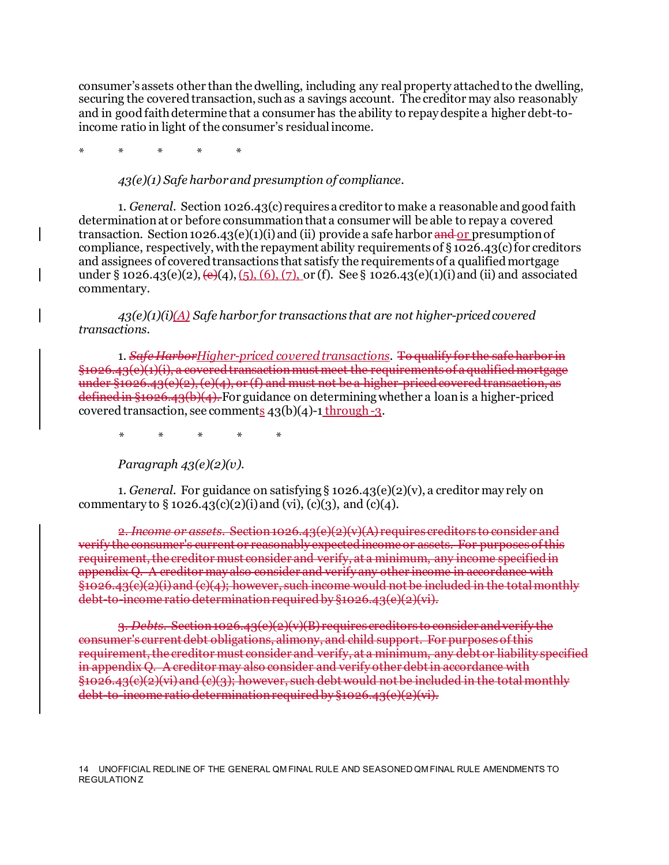consumer's assets other than the dwelling, including any real property attached to the dwelling, securing the covered transaction, such as a savings account. The creditor may also reasonably and in good faith determine that a consumer has the ability to repay despite a higher debt-toincome ratio in light of the consumer's residual income.

\* \* \* \* \*

#### *43(e)(1) Safe harbor and presumption of compliance.*

1. *General.* Section 1026.43(c) requires a creditor to make a reasonable and good faith determination at or before consummation that a consumer will be able to repay a covered transaction. Section 1026.43(e)(1)(i) and (ii) provide a safe harbor and or presumption of compliance, respectively, with the repayment ability requirements of  $\S 1026.43(c)$  for creditors and assignees of covered transactions that satisfy the requirements of a qualified mortgage under § 1026.43(e)(2),  $(\Theta(4), (5), (6), (7),$  or (f). See § 1026.43(e)(1)(i) and (ii) and associated commentary.

*43(e)(1)(i)(A) Safe harbor for transactions that are not higher-priced covered transactions.*

1. *Safe HarborHigher-priced covered transactions.* To qualify for the safe harbor in  $626.43$ (e)(1)(i), a covered transaction must meet the requirements of a qualified mortgage under §1026.43 $(e)(2)$ ,  $(e)(4)$ , or  $(f)$  and must not be a higher-priced covered transaction, as  $\frac{1}{2}$  defined in §1026.43(b)(4). For guidance on determining whether a loan is a higher-priced covered transaction, see comments  $43(b)(4)-1$  through  $-3$ .

*\* \* \* \* \**

*Paragraph 43(e)(2)(v).*

1. *General*. For guidance on satisfying § 1026.43(e)(2)(v), a creditor may rely on commentary to  $\S 1026.43(c)(2)(i)$  and (vi), (c)(3), and (c)(4).

 $Section 1026.43(e)(2)(v)(A)$  requires creditors to con verify the consumer's current or reasonably expected income or assets. For purposes requirement, the creditor must consider and verify, at a minimum, any income specified in appendix  $Q$ . A creditor may also consider and verify any other income in accordance  $§1026.43(e)(2)(i)$  and  $(e)(4)$ ; however, such income would not be included in the total monthly debt to-income ratio determination required by §1026.43(e)(2)(vi).

3. *Debts*. Section 1026.43(e)(2)(v)(B) requires creditors to consider and verify the consumer's current debt obligations, alimony, and child support. For purposes of this requirement, the creditor must consider and verify, at a minimum, any debt or liability specified in appendix Q. A creditor may also consider and verify other debt in accordance with §1026.43(c)(2)(vi) and (c)(3); however, such debt would not be included in the total monthly debt-to-income ratio determination required by §1026.43(e)(2)(vi).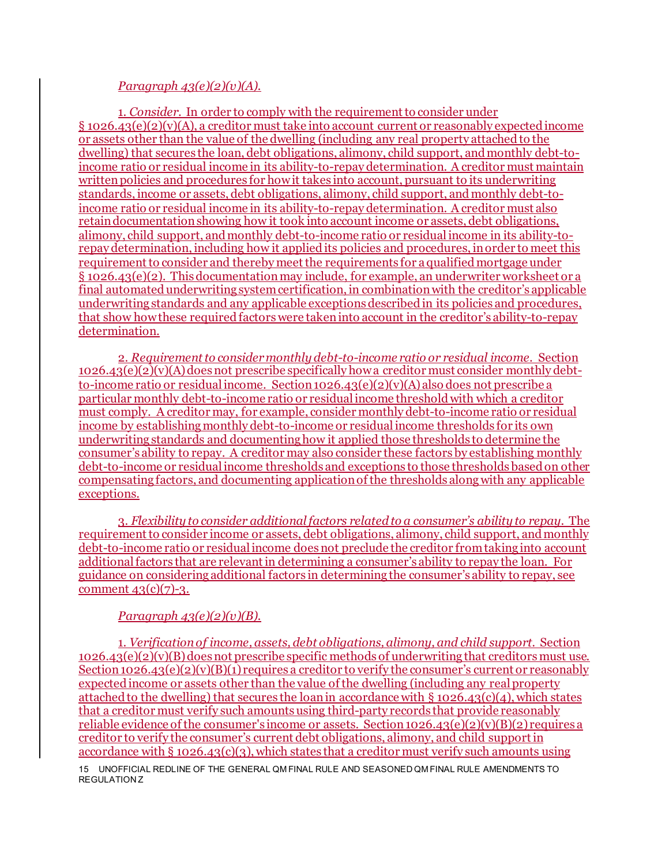#### *Paragraph 43(e)(2)(v)(A).*

1. *Consider*. In order to comply with the requirement to consider under § 1026.43(e)(2)(v)(A), a creditor must take into account current or reasonably expectedincome or assets other than the value of the dwelling (including any real property attached to the dwelling) that secures the loan, debt obligations, alimony, child support, and monthly debt-toincome ratio or residual income in its ability-to-repay determination. A creditor must maintain written policies and procedures for how it takes into account, pursuant to its underwriting standards, income or assets, debt obligations, alimony, child support, and monthly debt-toincome ratio or residual income in its ability-to-repay determination. A creditor must also retain documentation showing how it took into account income or assets, debt obligations, alimony, child support, and monthly debt-to-income ratio or residual income in its ability-torepay determination, including how it applied its policies and procedures, in order to meet this requirement to consider and thereby meet the requirements for a qualified mortgage under § 1026.43(e)(2). This documentation may include, for example, an underwriter worksheet or a final automated underwriting system certification, in combination with the creditor's applicable underwriting standards and any applicable exceptions described in its policies and procedures, that show how these required factors were taken into account in the creditor's ability-to-repay determination.

2. *Requirement to consider monthly debt-to-income ratio or residual income*. Section  $1026.43(e)(2)(v)$ (A) does not prescribe specifically how a creditor must consider monthly debtto-income ratio or residual income. Section 1026.43(e)(2)(v)(A) also does not prescribe a particular monthly debt-to-income ratio or residual income threshold with which a creditor must comply. A creditor may, for example, consider monthly debt-to-income ratio or residual income by establishing monthly debt-to-income or residual income thresholds for its own underwriting standards and documentinghow it applied those thresholds to determine the consumer's ability to repay. A creditor may also consider these factors by establishing monthly debt-to-income or residual income thresholds and exceptions to those thresholds based on other compensating factors, and documenting application of the thresholds along with any applicable exceptions.

3. *Flexibility to consider additional factors related to a consumer's ability to repay*. The requirement to consider income or assets, debt obligations, alimony, child support, and monthly debt-to-income ratio or residual income does not preclude the creditor from taking into account additional factors that are relevant in determining a consumer's ability to repay the loan. For guidance on considering additional factors in determining the consumer's ability to repay, see comment  $43(c)(7)-3$ .

## *Paragraph 43(e)(2)(v)(B).*

1. *Verification of income, assets, debt obligations, alimony, and child support.* Section 1026.43(e)(2)(v)(B) does not prescribe specific methods of underwriting that creditors must use. Section 1026.43(e)(2)(v)(B)(1) requires a creditor to verify the consumer's current or reasonably expected income or assets other than the value of the dwelling (including any real property attached to the dwelling) that secures the loan in accordance with § 1026.43(c)(4), which states that a creditor must verify such amounts using third-party records that provide reasonably reliable evidence of the consumer's income or assets. Section  $1026.43(e)(2)(v)(B)(2)$  requires a creditor to verify the consumer's current debt obligations, alimony, and child support in accordance with § 1026.43(c)(3), which states that a creditor must verify such amounts using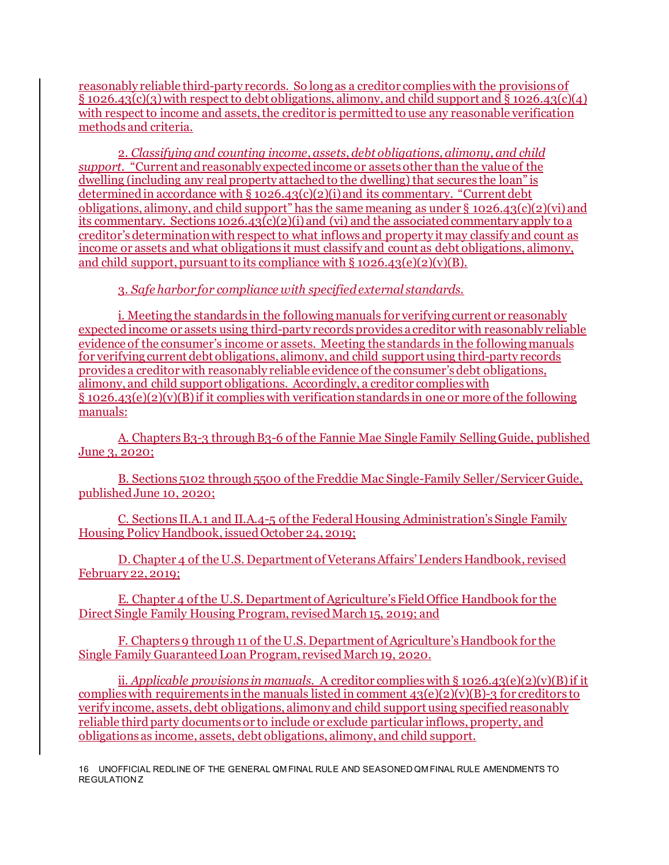reasonably reliable third-party records. So long as a creditor complies with the provisions of  $\S$  1026.43(c)(3) with respect to debt obligations, alimony, and child support and  $\S$  1026.43(c)(4) with respect to income and assets, the creditor is permitted to use any reasonable verification methods and criteria.

2. *Classifying and counting income, assets, debt obligations, alimony, and child support.* "Current and reasonably expected income or assets other than the value of the dwelling (including any real property attached to the dwelling) that secures the loan" is determined in accordance with  $\S 1026.43(c)(2)(i)$  and its commentary. "Current debt obligations, alimony, and child support" has the same meaning as under  $\S$  1026.43(c)(2)(vi) and its commentary. Sections  $1026.43(c)(2)(i)$  and (vi) and the associated commentary apply to a creditor's determination with respect to what inflows and property it may classify and count as income or assets and what obligations it must classify and count as debt obligations, alimony, and child support, pursuant to its compliance with  $\S 1026.43(e)(2)(v)(B)$ .

## 3. *Safe harbor for compliance with specified external standards.*

i. Meeting the standards in the following manuals for verifying current or reasonably expected income or assets using third-party records provides a creditor with reasonably reliable evidence of the consumer's income or assets. Meeting the standards in the followingmanuals for verifying current debt obligations, alimony, and child support using third-party records provides a creditor with reasonably reliable evidence of the consumer's debt obligations, alimony, and child support obligations. Accordingly, a creditor complies with § 1026.43(e)(2)(v)(B) if it complies with verification standards in one or more of the following manuals:

A. Chapters B3-3 through B3-6 of the Fannie Mae Single Family Selling Guide, published June 3, 2020;

B. Sections 5102 through 5500 of the Freddie Mac Single-Family Seller/Servicer Guide, published June 10, 2020;

C. Sections II.A.1 and II.A.4-5 of the Federal Housing Administration's Single Family Housing Policy Handbook, issued October 24, 2019;

D. Chapter 4 of the U.S. Department of Veterans Affairs' Lenders Handbook, revised February 22, 2019;

E. Chapter 4 of the U.S. Department of Agriculture's Field Office Handbook for the Direct Single Family Housing Program, revised March 15, 2019; and

F. Chapters 9 through 11 of the U.S. Department of Agriculture's Handbook for the Single Family Guaranteed Loan Program, revised March 19, 2020.

ii. *Applicable provisions in manuals.* A creditor complies with § 1026.43(e)(2)(v)(B) if it complies with requirements in the manuals listed in comment  $43(e)(2)(v)(B)-3$  for creditors to verify income, assets, debt obligations, alimony and child support using specified reasonably reliable third party documents or to include or exclude particular inflows, property, and obligations as income, assets, debt obligations, alimony, and child support.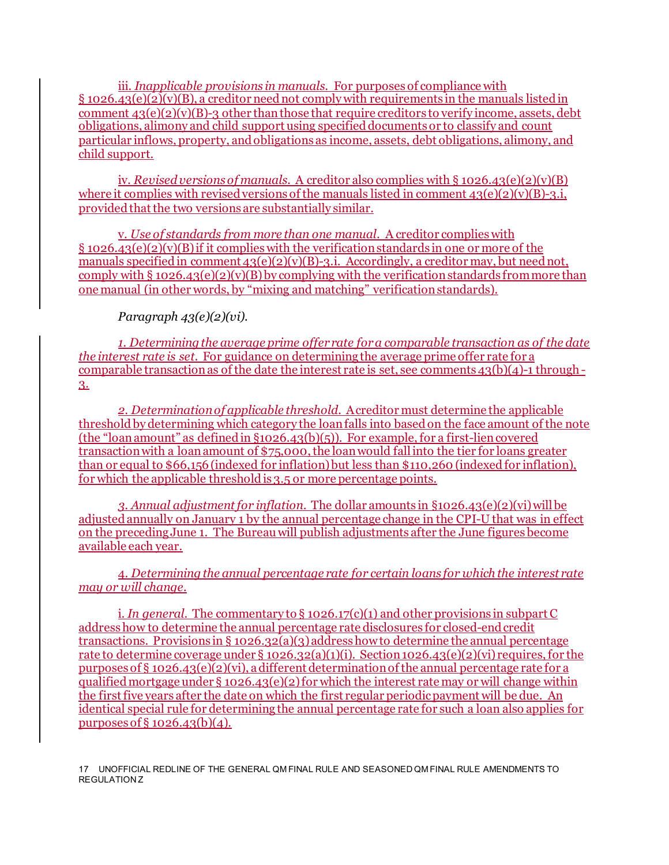iii. *Inapplicable provisions in manuals.* For purposes of compliance with  $\S 1026.43(e)(2)(v)(B)$ , a creditor need not comply with requirements in the manuals listed in comment  $43(e)(2)(v)(B)-3$  other than those that require creditors to verify income, assets, debt obligations, alimony and child support using specified documents or to classify and count particular inflows, property, and obligations as income, assets, debt obligations, alimony, and child support.

iv. *Revised versions of manuals.* A creditor also complies with § 1026.43(e)(2)(v)(B) where it complies with revised versions of the manuals listed in comment  $43(e)(2)(y)(B)-3.i$ . provided that the two versions are substantially similar.

v. *Use of standards from more than one manual*. A creditor complies with  $\S$  1026.43(e)(2)(y)(B) if it complies with the verification standards in one or more of the manuals specified in comment  $43(e)(2)(v)(B)-3.i.$  Accordingly, a creditor may, but need not, comply with § 1026.43(e)(2)(v)(B) by complying with the verification standards from more than one manual (in other words, by "mixing and matching" verification standards).

*Paragraph 43(e)(2)(vi).*

*1. Determining the average prime offer rate for a comparable transaction as of the date the interest rate is set.* For guidance on determining the average prime offer rate for a comparable transaction as of the date the interest rate is set, see comments  $43(b)(4)-1$  through-3.

*2. Determination of applicable threshold.* A creditor must determine the applicable threshold by determining which category the loan falls into based on the face amount of the note (the "loan amount" as defined in §1026.43(b)(5)). For example, for a first-lien covered transaction with a loan amount of \$75,000, the loan would fall into the tier for loans greater than or equal to \$66,156 (indexed for inflation) but less than \$110,260 (indexed for inflation), for which the applicable threshold is 3.5 or more percentage points.

*3. Annual adjustment for inflation*. The dollar amounts in §1026.43(e)(2)(vi) will be adjusted annually on January 1 by the annual percentage change in the CPI-U that was in effect on the preceding June 1. The Bureau will publish adjustments after the June figures become available each year.

4. *Determining the annual percentage rate for certain loans for which the interest rate may or will change.*

i. *In general*. The commentary to § 1026.17(c)(1) and other provisions in subpart C address how to determine the annual percentage rate disclosures for closed-end credit transactions. Provisions in § 1026.32(a)(3) address how to determine the annual percentage rate to determine coverage under  $\S 1026.32(a)(1)(i)$ . Section 1026.43(e)(2)(vi) requires, for the purposes of § 1026.43(e)(2)(vi), a different determination of the annual percentage rate for a qualified mortgage under § 1026.43(e)(2) for which the interest rate may or will change within the first five years after the date on which the first regular periodic payment will be due. An identical special rule for determining the annual percentage rate for such a loan also applies for purposes of  $\S$  1026.43(b)(4).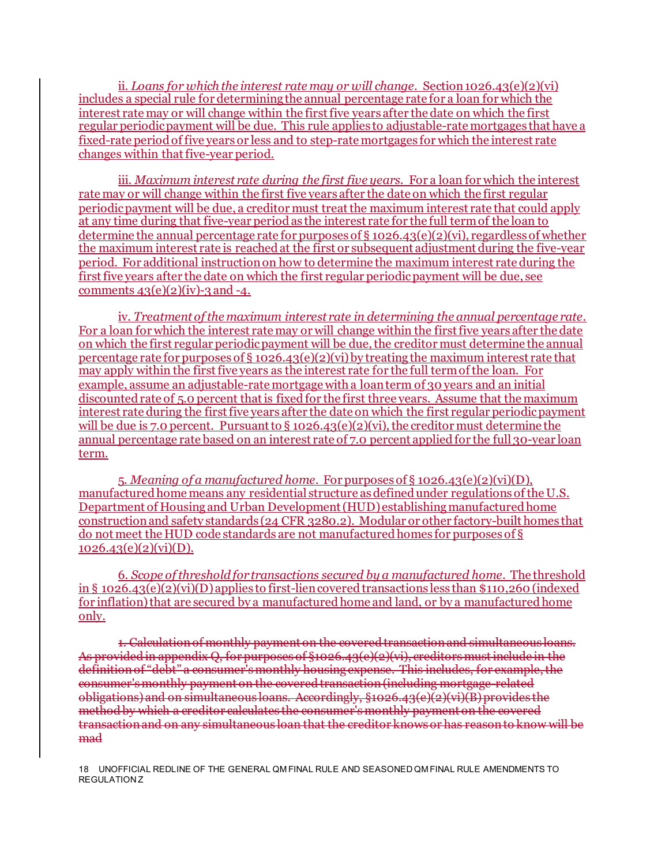ii. *Loans for which the interest rate may or will change*. Section 1026.43(e)(2)(vi) includes a special rule for determining the annual percentage rate for a loan for which the interest rate may or will change within the first five years after the date on which the first regular periodic payment will be due. This rule applies to adjustable-rate mortgages that have a fixed-rate period of five years or less and to step-rate mortgages for which the interest rate changes within that five-year period.

iii. *Maximum interest rate during the first five years*. For a loan for which the interest rate may or will change within the first five years after the date on which the first regular periodic payment will be due, a creditor must treat the maximum interest rate that could apply at any time during that five-year period as the interest rate for the full term of the loan to determine the annual percentage rate for purposes of § 1026.43(e)(2)(vi), regardless of whether the maximum interest rate is reached at the first or subsequent adjustment during the five-year period. For additional instruction on how to determine the maximum interest rate during the first five years after the date on which the first regular periodic payment will be due, see comments  $43(e)(2)(iv)$ -3 and -4.

iv. *Treatment of the maximum interest rate in determining the annual percentage rate.*  For a loan for which the interest rate may or will change within the first five years after the date on which the first regular periodic payment will be due, the creditor must determine the annual percentage rate for purposes of § 1026.43(e)(2)(vi) by treating the maximum interest rate that may apply within the first five years as the interest rate for the full term of the loan. For example, assume an adjustable-rate mortgage with a loan term of 30 years and an initial discounted rate of 5.0 percent that is fixed for the first three years. Assume that the maximum interest rate during the first five years after the date on which the first regular periodic payment will be due is 7.0 percent. Pursuant to § 1026.43(e)(2)(vi), the creditor must determine the annual percentage rate based on an interest rate of 7.0 percent applied for the full 30-year loan term.

5. *Meaning of a manufactured home*. For purposes of § 1026.43(e)(2)(vi)(D), manufactured home means any residential structure as defined under regulations of the U.S. Department of Housing and Urban Development (HUD) establishing manufactured home construction and safety standards (24 CFR 3280.2). Modular or other factory-built homes that do not meet the HUD code standards are not manufactured homes for purposes of §  $1026.43(e)(2)(vi)(D).$ 

6. *Scope of threshold for transactions secured by a manufactured home*. The threshold in §  $1026.43(e)(2)(vi)(D)$  applies to first-lien covered transactions less than \$110,260 (indexed for inflation) that are secured by a manufactured home and land, or by a manufactured home only.

1. Calculation of monthly payment on the covered transaction and simultaneous loans. As provided in appendix Q, for purposes of §1026.43(e)(2)(vi), creditors must include in the definition of "debt" a consumer's monthly housing expense. This includes, for example, the consumer's monthly payment on the covered transaction (including mortgage-related obligations) and on simultaneous loans. Accordingly,  $§1026.43(e)$  $(e)$  $(e)$  $(\overline{B})$  provides the method by which a creditor calculates the consumer's monthly payment on the covered transaction and on any simultaneous loan that the creditor knows or has reason to know will be mad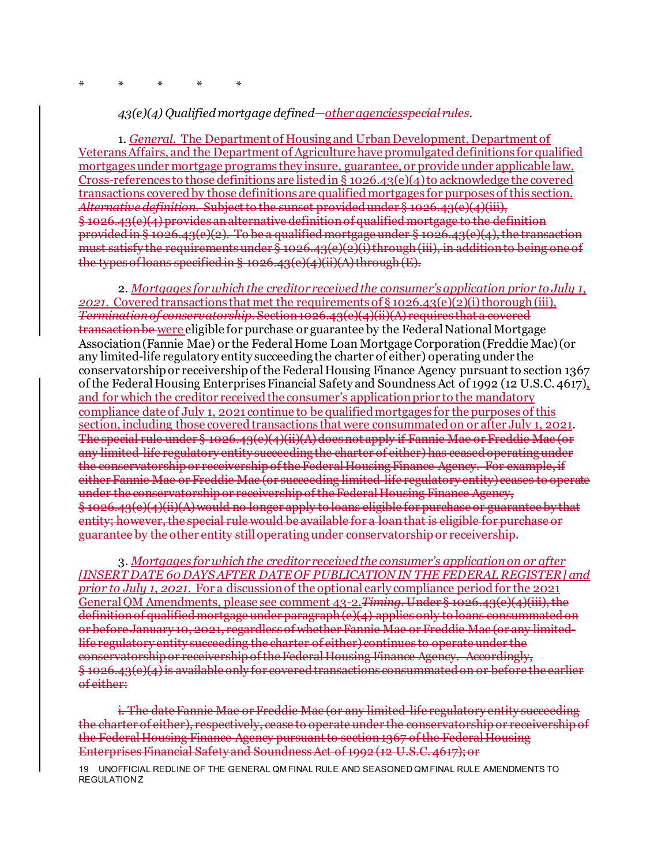#### *43(e)(4) Qualified mortgage defined—other agenciesspecial rules.*

1. *General.* The Department of Housing and Urban Development, Department of Veterans Affairs, and the Department of Agriculture have promulgated definitions for qualified mortgages under mortgage programs they insure, guarantee, or provide under applicable law. Cross-references to those definitions are listed in § 1026.43(e)(4) to acknowledge the covered transactions covered by those definitions are qualified mortgages for purposes of this section. *Alternative definition.* Subject to the sunset provided under § 1026.43(e)(4)(iii), § 1026.43(e)(4) provides an alternative definition of qualified mortgage to the definition provided in § 1026.43(e)(2). To be a qualified mortgage under § 1026.43(e)(4), the transaction must satisfy the requirements under § 1026.43(e)(2)(i) through (iii), in addition to being one of the types of loans specified in  $\S$  1026.43(e)(4)(ii)(A) through  $(E)$ .

2. *Mortgages for which the creditor received the consumer's application prior to July 1, 2021.* Covered transactions that met the requirements of § 1026.43(e)(2)(i) thorough (iii), *Termination of conservatorship.* Section 1026.43(e)(4)(ii)(A) requires that a covered transaction be were eligible for purchase or guarantee by the Federal National Mortgage Association (Fannie Mae) or the Federal Home Loan Mortgage Corporation (Freddie Mac) (or any limited-life regulatory entity succeeding the charter of either) operating under the conservatorship or receivership of the Federal Housing Finance Agency pursuant to section 1367 of the Federal Housing Enterprises Financial Safety and Soundness Act of 1992 (12 U.S.C. 4617), and for which the creditor received the consumer's application prior to the mandatory compliance date of July 1, 2021 continue to be qualified mortgages for the purposes of this section, including those covered transactions that were consummated on or after July 1, 2021. The special rule under § 1026.43(e)(4)(ii)(A) does not apply if Fannie Mae or Freddie Mac (or any limited-life regulatory entity succeeding the charter of either) has ceased operating under the conservatorship or receivership of the Federal Housing Finance Agency. For example, if either Fannie Mae or Freddie Mac (or succeeding limited-life regulatory entity) ceases to operate under the conservatorship or receivership of the Federal Housing Finance Agency, § 1026.43(e)(4)(ii)(A) would no longer apply to loans eligible for purchase or guarantee by that entity; however, the special rule would be available for a loan that is eligible for purchase or guarantee by the other entity still operating under conservatorship or receivership.

3. *Mortgages for which the creditor received the consumer's application on or after [INSERT DATE 60 DAYS AFTER DATE OF PUBLICATION IN THE FEDERAL REGISTER] and prior to July 1, 2021*. For a discussion of the optional early compliance period for the 2021 General QM Amendments, please see comment 43-2.*Timing.* Under § 1026.43(e)(4)(iii), the definition of qualified mortgage under paragraph (e)(4) applies only to loans consummated on or before January 10, 2021, regardless of whether Fannie Mae or Freddie Mac (or any limitedlife regulatory entity succeeding the charter of either) continues to operate under the conservatorship or receivership of the Federal Housing Finance Agency. Accordingly, § 1026.43(e)(4) is available only for covered transactions consummated on or before the earlier of either:

i. The date Fannie Mae or Freddie Mac (or any limited-life regulatory entity succeeding the charter of either), respectively, cease to operate under the conservatorship or receivership of the Federal Housing Finance Agency pursuant to section 1367 of the Federal Housing Enterprises Financial Safety and Soundness Act of 1992 (12 U.S.C. 4617); or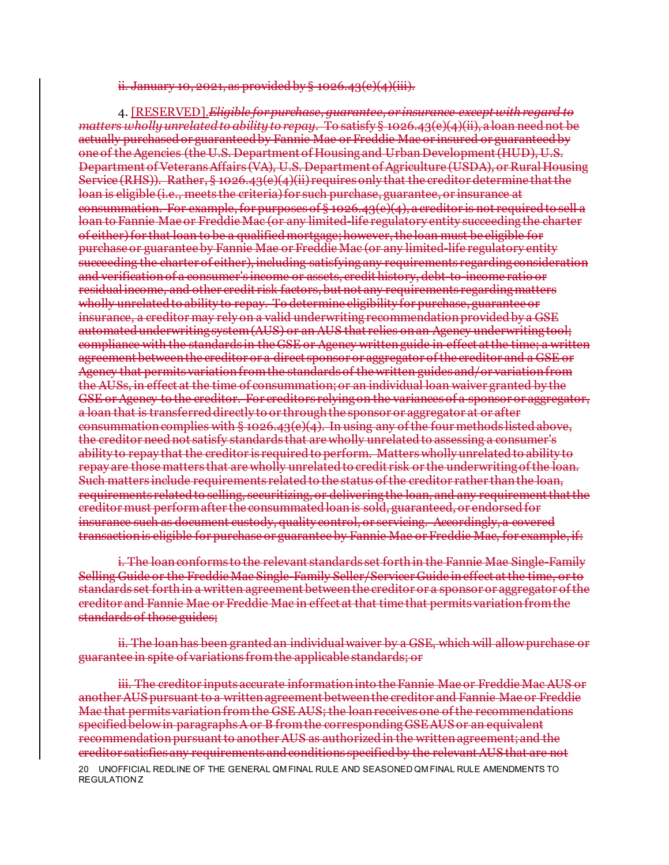ii. January 10, 2021, as provided by § 1026.43(e)(4)(iii).

4. [RESERVED].*Eligible for purchase, guarantee, or insurance except with regard to matters wholly unrelated to ability to repay.* To satisfy § 1026.43(e)(4)(ii), a loan need not be actually purchased or guaranteed by Fannie Mae or Freddie Mac or insured or guaranteed by one of the Agencies (the U.S. Department of Housing and Urban Development (HUD), U.S. Department of Veterans Affairs (VA), U.S. Department of Agriculture (USDA), or Rural Housing Service (RHS)). Rather, § 1026.43(e)(4)(ii) requires only that the creditor determine that the loan is eligible (i.e., meets the criteria) for such purchase, guarantee, or insurance at consummation. For example, for purposes of § 1026.43(e)(4), a creditor is not required to sell a loan to Fannie Mae or Freddie Mac (or any limited-life regulatory entity succeeding the charter of either) for that loan to be a qualified mortgage; however, the loan must be eligible for purchase or guarantee by Fannie Mae or Freddie Mac (or any limited-life regulatory entity succeeding the charter of either), including satisfying any requirements regarding consideration and verification of a consumer's income or assets, credit history, debt-to-income ratio or residual income, and other credit risk factors, but not any requirements regarding matters wholly unrelated to ability to repay. To determine eligibility for purchase, guarantee or insurance, a creditor may rely on a valid underwriting recommendation provided by a GSE automated underwriting system (AUS) or an AUS that relies on an Agency underwriting tool; compliance with the standards in the GSE or Agency written guide in effect at the time; a written agreement between the creditor or a direct sponsor or aggregator of the creditor and a GSE or Agency that permits variation from the standards of the written guides and/or variation from the AUSs, in effect at the time of consummation; or an individual loan waiver granted by the GSE or Agency to the creditor. For creditors relying on the variances of a sponsor or aggregator, a loan that is transferred directly to or through the sponsor or aggregator at or after consummation complies with § 1026.43(e)(4). In using any of the four methods listed above, the creditor need not satisfy standards that are wholly unrelated to assessing a consumer's ability to repay that the creditor is required to perform. Matters wholly unrelated to ability to repay are those matters that are wholly unrelated to credit risk or the underwriting of the loan. Such matters include requirements related to the status of the creditor rather than the loan, requirements related to selling, securitizing, or delivering the loan, and any requirementthat the creditor must perform after the consummated loan is sold, guaranteed, or endorsed for insurance such as document custody, quality control, or servicing. Accordingly, a covered transaction is eligible for purchase or guarantee by Fannie Mae or Freddie Mac, for example, if:

i. The loan conforms to the relevant standards set forth in the Fannie Mae Single-Family Selling Guide or the Freddie Mac Single-Family Seller/Servicer Guide in effect at the time, or to standards set forth in a written agreement between the creditor or a sponsor or aggregator of the creditor and Fannie Mae or Freddie Mac in effect at that time that permits variation from the standards of those guides;

ii. The loan has been granted an individual waiver by a GSE, which will allow purchase or guarantee in spite of variations from the applicable standards; or

20 UNOFFICIAL REDLINE OF THE GENERAL QM FINAL RULE AND SEASONED QM FINAL RULE AMENDMENTS TO REGULATION Z iii. The creditor inputs accurate information into the Fannie Mae or Freddie Mac AUS or another AUS pursuant to a written agreement between the creditor and Fannie Mae or Freddie Mac that permits variation from the GSE AUS; the loan receives one of the recommendations specified below in paragraphs A or B from the corresponding GSE AUS or an equivalent recommendation pursuant to another AUS as authorized in the written agreement; and the creditor satisfies any requirements and conditions specified by the relevant AUS that are not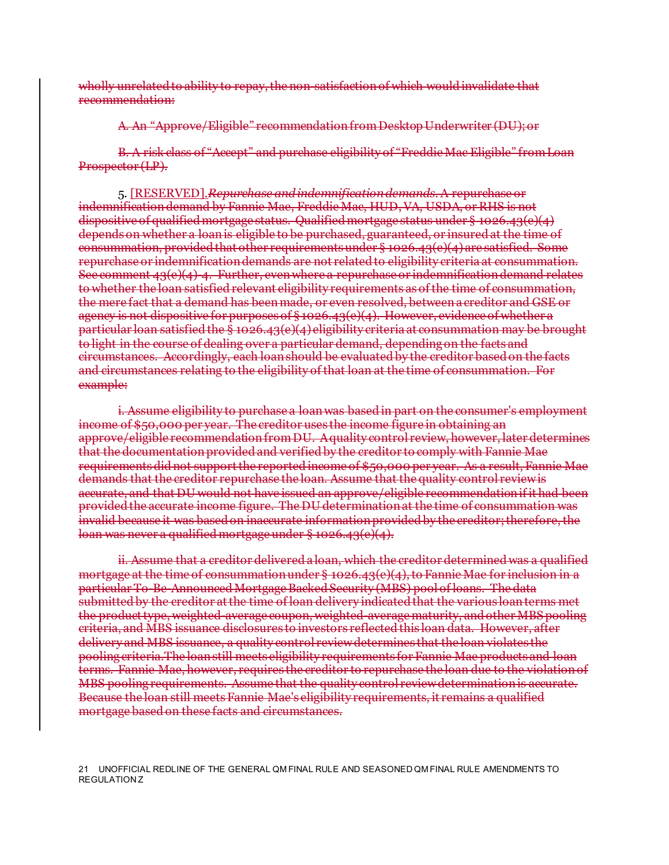wholly unrelated to ability to repay, the non-satisfaction of which would invalidate that recommendation:

A. An "Approve/Eligible" recommendation from Desktop Underwriter (DU); or

B. A risk class of "Accept" and purchase eligibility of "Freddie Mac Eligible" from Loan Prospector (LP).

5. [RESERVED].*Repurchase and indemnification demands.*A repurchase or indemnification demand by Fannie Mae, Freddie Mac, HUD, VA, USDA, or RHS is not dispositive of qualified mortgage status. Qualified mortgage status under § 1026.43(e)(4) depends on whether a loan is eligible to be purchased, guaranteed, or insured at the time of consummation, provided that other requirements under § 1026.43(e)(4) are satisfied. Some repurchase or indemnification demands are not related to eligibility criteria at consummation. See comment  $43(e)(4)$ -4. Further, even where a repurchase or indemnification demand relates to whether the loan satisfied relevant eligibility requirements as of the time of consummation, the mere fact that a demand has been made, or even resolved, between a creditor and GSE or agency is not dispositive for purposes of § 1026.43(e)(4). However, evidence of whether a particular loan satisfied the § 1026.43(e)(4) eligibility criteria at consummation may be brought to light in the course of dealing over a particular demand, depending on the facts and circumstances. Accordingly, each loan should be evaluated by the creditor based on the facts and circumstances relating to the eligibility of that loan at the time of consummation. For example:

i. Assume eligibility to purchase a loan was based in part on the consumer's employment income of \$50,000 per year. The creditor uses the income figure in obtaining an approve/eligible recommendation from DU. A quality control review, however, later determines that the documentation provided and verified by the creditor to comply with Fannie Mae requirements did not support the reported income of \$50,000 per year. As a result, Fannie Mae demands that the creditor repurchase the loan. Assume that the quality control review is accurate, and that DU would not have issued an approve/eligible recommendation if it had been provided the accurate income figure. The DU determination at the time of consummation was invalid because it was based on inaccurate information provided by the creditor; therefore, the loan was never a qualified mortgage under § 1026.43(e)(4).

ii. Assume that a creditor delivered a loan, which the creditor determined was a qualified mortgage at the time of consummation under § 1026.43(e)(4), to Fannie Mae for inclusion in a particular To-Be-Announced Mortgage Backed Security (MBS) pool of loans. The data submitted by the creditor at the time of loan delivery indicated that the various loan terms met the product type, weighted-average coupon, weighted-average maturity, and other MBS pooling criteria, and MBS issuance disclosures to investors reflected this loan data. However, after delivery and MBS issuance, a quality control review determines that the loan violates the pooling criteria.The loan still meets eligibility requirements for Fannie Mae products and loan terms. Fannie Mae, however, requires the creditor to repurchase the loan due to the violation of MBS pooling requirements. Assume that the quality control review determination is accurate. Because the loan still meets Fannie Mae's eligibility requirements, it remains a qualified mortgage based on these facts and circumstances.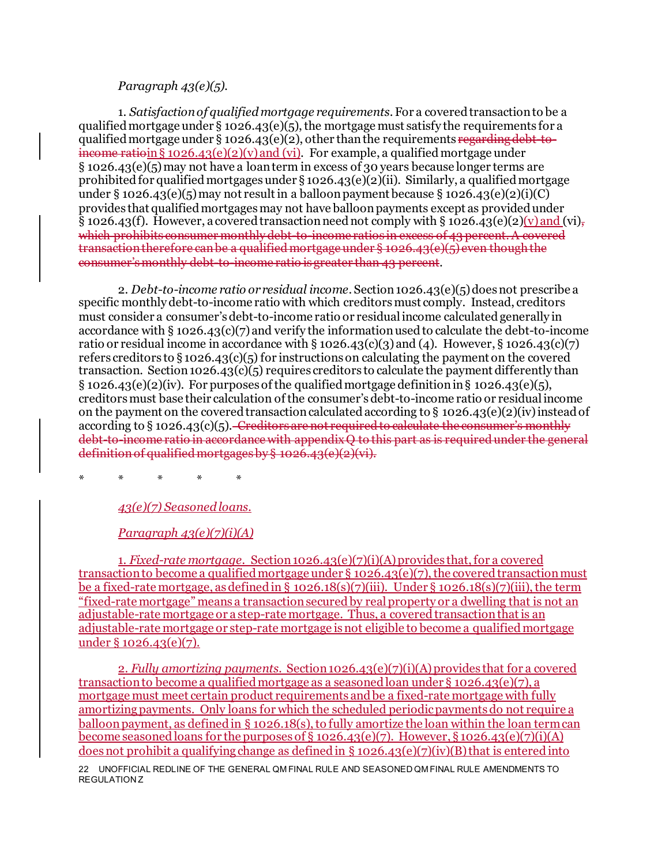#### *Paragraph 43(e)(5).*

1. *Satisfaction of qualified mortgage requirements*. For a covered transaction to be a qualified mortgage under § 1026.43(e)(5), the mortgage must satisfy the requirements for a qualified mortgage under § 1026.43(e)(2), other than the requirements regarding debt-toincome ratioin §  $1026.43(e)(2)(v)$  and (vi). For example, a qualified mortgage under § 1026.43(e)(5) may not have a loan term in excess of 30 years because longer terms are prohibited for qualified mortgages under  $\S 1026.43(e)(2)(ii)$ . Similarly, a qualified mortgage under § 1026.43(e)(5) may not result in a balloon payment because § 1026.43(e)(2)(i)(C) provides that qualified mortgages may not have balloon payments except as provided under  $\S$  1026.43(f). However, a covered transaction need not comply with  $\S$  1026.43(e)(2)(v) and (vi), which prohibits consumer monthly debt-to-income ratios in excess of 43 percent. A covered transaction therefore can be a qualified mortgage under § 1026.43(e)(5) even though the consumer's monthly debt-to-income ratio is greater than 43 percent.

2. *Debt-to-income ratio or residual income*. Section 1026.43(e)(5) does not prescribe a specific monthly debt-to-income ratio with which creditors must comply. Instead, creditors must consider a consumer's debt-to-income ratio or residual income calculated generally in accordance with § 1026.43(c)(7) and verify the information used to calculate the debt-to-income ratio or residual income in accordance with § 1026.43(c)(3) and (4). However, § 1026.43(c)(7) refers creditors to § 1026.43(c)(5) for instructions on calculating the payment on the covered transaction. Section 1026.43(c)(5) requires creditors to calculate the payment differently than  $\S 1026.43(e)(2)(iv)$ . For purposes of the qualified mortgage definition in  $\S 1026.43(e)(5)$ , creditors must base their calculation of the consumer's debt-to-income ratio or residual income on the payment on the covered transaction calculated according to § 1026.43(e)(2)(iv) instead of according to  $\S 1026.43(c)(5)$ . Creditors are not required to calculate the consumer's monthly debt to income ratio in accordance with appendix  $\ddot{\theta}$  to this part as is required under the general definition of qualified mortgages by § 1026.43(e)(2)(vi).

\* \* \* \* \*

## *43(e)(7) Seasoned loans.*

#### *Paragraph 43(e)(7)(i)(A)*

1. *Fixed-rate mortgage.* Section 1026.43(e)(7)(i)(A) provides that, for a covered transaction to become a qualified mortgage under  $\S$  1026.43(e)(7), the covered transaction must be a fixed-rate mortgage, as defined in § 1026.18(s)(7)(iii). Under § 1026.18(s)(7)(iii), the term "fixed-rate mortgage" means a transaction secured by real property or a dwelling that is not an adjustable-rate mortgage or a step-rate mortgage. Thus, a covered transaction that is an adjustable-rate mortgage or step-rate mortgage is not eligible to become a qualified mortgage under § 1026.43(e)(7).

2. *Fully amortizing payments.* Section 1026.43(e)(7)(i)(A) provides that for a covered transaction to become a qualified mortgage as a seasoned loan under § 1026.43(e)(7), a mortgage must meet certain product requirements and be a fixed-rate mortgage with fully amortizing payments. Only loans for which the scheduled periodic payments do not require a balloon payment, as defined in § 1026.18(s), to fully amortize the loan within the loan term can become seasoned loans for the purposes of  $\S$  1026.43(e)(7). However,  $\S$  1026.43(e)(7)(i)(A) does not prohibit a qualifying change as defined in  $\S 1026.43(e)(7)(iv)(B)$  that is entered into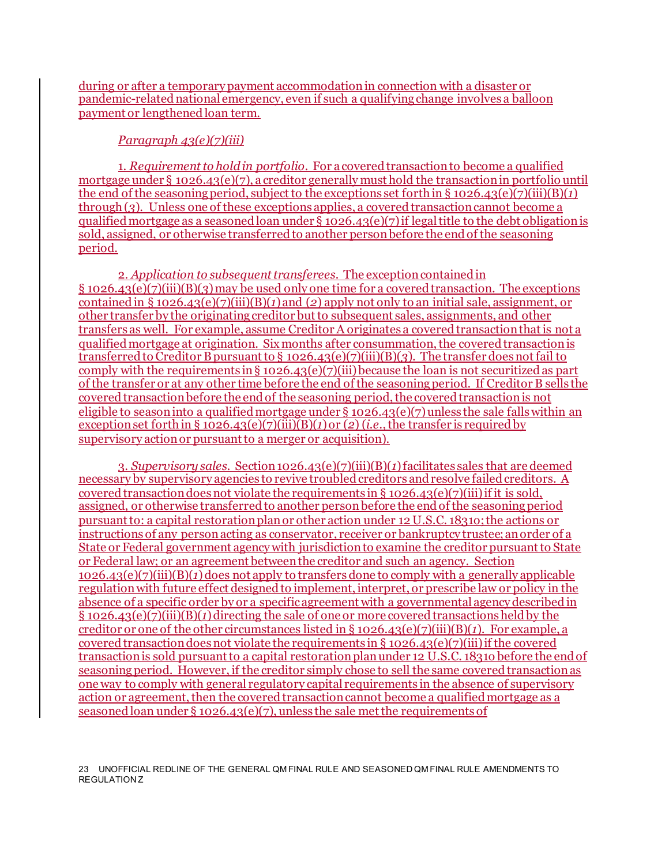during or after a temporary payment accommodation in connection with a disaster or pandemic-related national emergency, even if such a qualifying change involves a balloon payment or lengthened loan term.

## *Paragraph 43(e)(7)(iii)*

1. *Requirement to hold in portfolio.* For a covered transaction to become a qualified mortgage under § 1026.43(e)(7), a creditor generally must hold the transaction in portfolio until the end of the seasoning period, subject to the exceptions set forth in § 1026.43(e)(7)(iii)(B)(1) through (*3*). Unless one of these exceptions applies, a covered transaction cannot become a qualified mortgage as a seasoned loan under  $\S$  1026.43(e)(7) if legal title to the debt obligation is sold, assigned, or otherwise transferred to another person before the end of the seasoning period.

2. *Application to subsequent transferees.* The exception contained in § 1026.43(e)(7)(iii)(B)(*3*) may be used only one time for a covered transaction. The exceptions contained in § 1026.43(e)(7)(iii)(B)(*1*) and (*2*) apply not only to an initial sale, assignment, or other transfer by the originating creditor but to subsequent sales, assignments, and other transfers as well. For example, assume Creditor A originates a covered transaction that is not a qualified mortgage at origination. Six months after consummation, the covered transaction is transferred to Creditor B pursuant to § 1026.43(e)(7)(iii)(B)(*3*). The transfer does not fail to comply with the requirements in  $\S 1026.43(e)(7)(iii)$  because the loan is not securitized as part of the transfer or at any other time before the end of the seasoning period. If Creditor B sells the covered transaction before the end of the seasoning period, the covered transaction is not eligible to season into a qualified mortgage under  $\S 1026.43(e)(7)$  unless the sale falls within an exception set forth in § 1026.43(e)(7)(iii)(B)(*1*) or (*2*) (*i.e.*, the transfer is required by supervisory action or pursuant to a merger or acquisition).

3*. Supervisory sales.* Section 1026.43(e)(7)(iii)(B)(*1*) facilitates sales that are deemed necessary by supervisory agencies to revive troubled creditors and resolve failed creditors. A covered transaction does not violate the requirements in § 1026.43(e)(7)(iii) if it is sold, assigned, or otherwise transferred to another person before the end of the seasoning period pursuant to: a capital restoration plan or other action under 12 U.S.C. 1831o; the actions or instructions of any person acting as conservator, receiver or bankruptcy trustee; an order of a State or Federal government agency with jurisdiction to examine the creditor pursuant to State or Federal law; or an agreement between the creditor and such an agency. Section 1026.43(e)(7)(iii)(B)(*1*) does not apply to transfers done to comply with a generally applicable regulation with future effect designed to implement, interpret, or prescribe law or policy in the absence of a specific order by or a specific agreement with a governmental agency described in § 1026.43(e)(7)(iii)(B)(*1*) directing the sale of one or more covered transactions held by the creditor or one of the other circumstances listed in § 1026.43(e)(7)(iii)(B)(*1*). For example, a covered transaction does not violate the requirements in § 1026.43(e)(7)(iii) if the covered transaction is sold pursuant to a capital restoration plan under 12 U.S.C. 1831o before the end of seasoning period. However, if the creditor simply chose to sell the same covered transaction as one way to comply with general regulatory capital requirements in the absence of supervisory action or agreement, then the covered transaction cannot become a qualified mortgage as a seasoned loan under § 1026.43(e)(7), unless the sale met the requirements of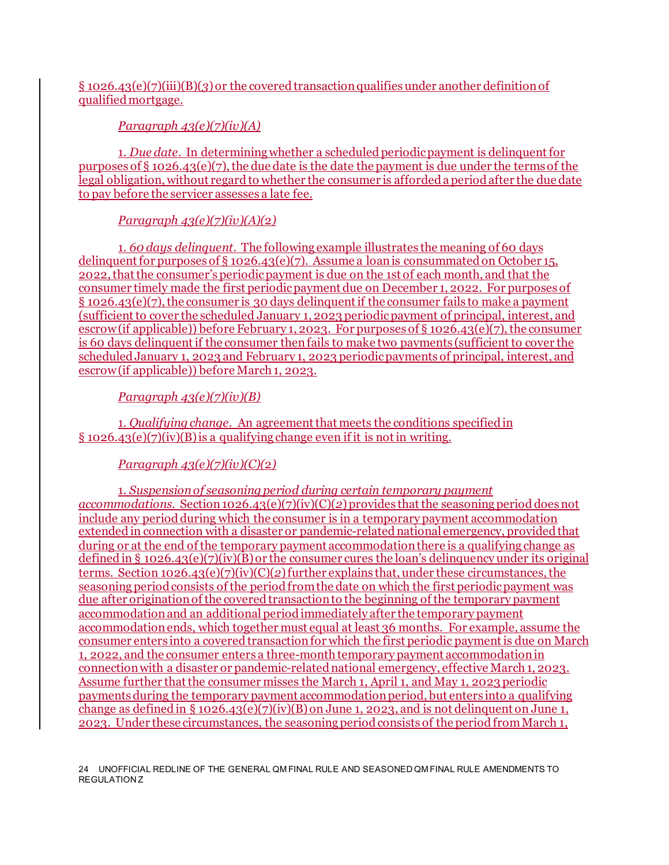## § 1026.43(e)(7)(iii)(B)(*3*) or the covered transaction qualifies under another definition of qualified mortgage.

*Paragraph 43(e)(7)(iv)(A)*

1. *Due date.* In determining whether a scheduled periodic payment is delinquent for purposes of  $\S$  1026.43(e)(7), the due date is the date the payment is due under the terms of the legal obligation, without regard to whether the consumer is afforded a period after the due date to pay before the servicer assesses a late fee.

## *Paragraph 43(e)(7)(iv)(A)(*2*)*

1. *60 days delinquent.* The following example illustrates the meaning of 60 days delinquent for purposes of  $\S$  1026.43(e)(7). Assume a loan is consummated on October 15, 2022, that the consumer's periodic payment is due on the 1st of each month, and that the consumer timely made the first periodic payment due on December 1, 2022. For purposes of § 1026.43(e)(7), the consumer is 30 days delinquent if the consumer fails to make a payment (sufficient to cover the scheduled January 1, 2023 periodic payment of principal, interest, and escrow(if applicable)) before February 1, 2023. For purposes of § 1026.43(e)(7), the consumer is 60 days delinquent if the consumer then fails to make two payments (sufficient to cover the scheduled January 1, 2023 and February 1, 2023 periodic payments of principal, interest, and escrow(if applicable)) before March 1, 2023.

*Paragraph 43(e)(7)(iv)(B)*

1. *Qualifying change.* An agreement that meets the conditions specified in § 1026.43(e)(7)(iv)(B) is a qualifying change even if it is not in writing.

# *Paragraph 43(e)(7)(iv)(C)(*2*)*

1. *Suspension of seasoning period during certain temporary payment accommodations.* Section 1026.43(e)(7)(iv)(C)(*2*) provides that the seasoning period does not include any period during which the consumer is in a temporary payment accommodation extended in connection with a disaster or pandemic-related national emergency, provided that during or at the end of the temporary payment accommodation there is a qualifying change as defined in § 1026.43(e)(7)(iv)( $\overline{B}$ ) or the consumer cures the loan's delinquency under its original terms. Section 1026.43(e)(7)(iv)(C)(*2*) further explains that, under these circumstances, the seasoning period consists of the period from the date on which the first periodic payment was due after origination of the covered transaction to the beginning of the temporary payment accommodation and an additional period immediately after the temporary payment accommodation ends, which together must equal at least 36 months. For example, assume the consumer enters into a covered transaction for which the first periodic payment is due on March 1, 2022, and the consumer enters a three-month temporary payment accommodation in connection with a disaster or pandemic-related national emergency, effective March 1, 2023. Assume further that the consumer misses the March 1, April 1, and May 1, 2023 periodic payments during the temporary payment accommodationperiod, but enters into a qualifying change as defined in § 1026.43(e)(7)(iv)(B) on June 1, 2023, and is not delinquent on June 1, 2023. Under these circumstances, the seasoning period consists of the period from March 1,